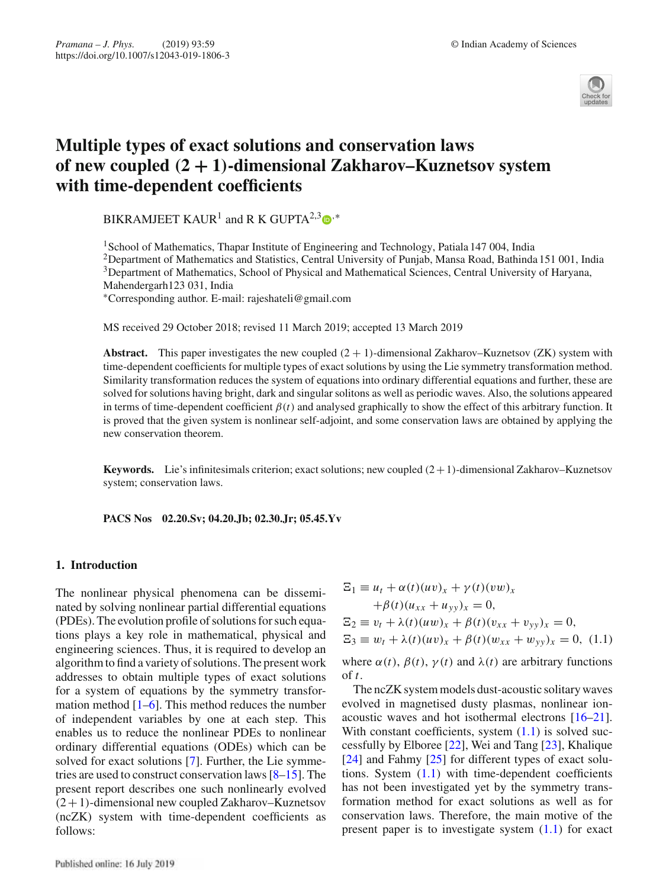

# **Multiple types of exact solutions and conservation laws of new coupled** *(***2 + 1***)***-dimensional Zakharov–Kuznetsov system with time-dependent coefficients**

BIKRAMJEET KAUR<sup>1</sup> and R K GUPTA<sup>2,3</sup>  $\bullet$ <sup>,\*</sup>

<sup>1</sup>School of Mathematics, Thapar Institute of Engineering and Technology, Patiala 147 004, India <sup>2</sup>Department of Mathematics and Statistics, Central University of Punjab, Mansa Road, Bathinda 151 001, India 3Department of Mathematics, School of Physical and Mathematical Sciences, Central University of Haryana, Mahendergarh123 031, India

∗Corresponding author. E-mail: rajeshateli@gmail.com

MS received 29 October 2018; revised 11 March 2019; accepted 13 March 2019

**Abstract.** This paper investigates the new coupled  $(2 + 1)$ -dimensional Zakharov–Kuznetsov (ZK) system with time-dependent coefficients for multiple types of exact solutions by using the Lie symmetry transformation method. Similarity transformation reduces the system of equations into ordinary differential equations and further, these are solved for solutions having bright, dark and singular solitons as well as periodic waves. Also, the solutions appeared in terms of time-dependent coefficient  $\beta(t)$  and analysed graphically to show the effect of this arbitrary function. It is proved that the given system is nonlinear self-adjoint, and some conservation laws are obtained by applying the new conservation theorem.

**Keywords.** Lie's infinitesimals criterion; exact solutions; new coupled  $(2+1)$ -dimensional Zakharov–Kuznetsov system; conservation laws.

**PACS Nos 02.20.Sv; 04.20.Jb; 02.30.Jr; 05.45.Yv**

# **1. Introduction**

The nonlinear physical phenomena can be disseminated by solving nonlinear partial differential equations (PDEs). The evolution profile of solutions for such equations plays a key role in mathematical, physical and engineering sciences. Thus, it is required to develop an algorithm to find a variety of solutions. The present work addresses to obtain multiple types of exact solutions for a system of equations by the symmetry transformation method  $[1-6]$ . This method reduces the number of independent variables by one at each step. This enables us to reduce the nonlinear PDEs to nonlinear ordinary differential equations (ODEs) which can be solved for exact solutions [7]. Further, the Lie symmetries are used to construct conservation laws [8–15]. The present report describes one such nonlinearly evolved  $(2+1)$ -dimensional new coupled Zakharov–Kuznetsov (ncZK) system with time-dependent coefficients as follows:

$$
\begin{aligned} \Xi_1 &\equiv u_t + \alpha(t)(uv)_x + \gamma(t)(vw)_x \\ &+ \beta(t)(u_{xx} + u_{yy})_x = 0, \\ \Xi_2 &\equiv v_t + \lambda(t)(uw)_x + \beta(t)(v_{xx} + v_{yy})_x = 0, \\ \Xi_3 &\equiv w_t + \lambda(t)(uv)_x + \beta(t)(w_{xx} + w_{yy})_x = 0, \ (1.1) \end{aligned}
$$

where  $\alpha(t)$ ,  $\beta(t)$ ,  $\gamma(t)$  and  $\lambda(t)$  are arbitrary functions of *t*.

The ncZK system models dust-acoustic solitary waves evolved in magnetised dusty plasmas, nonlinear ionacoustic waves and hot isothermal electrons [16–21]. With constant coefficients, system  $(1.1)$  is solved successfully by Elboree [22], Wei and Tang [23], Khalique [24] and Fahmy [25] for different types of exact solutions. System  $(1.1)$  with time-dependent coefficients has not been investigated yet by the symmetry transformation method for exact solutions as well as for conservation laws. Therefore, the main motive of the present paper is to investigate system  $(1.1)$  for exact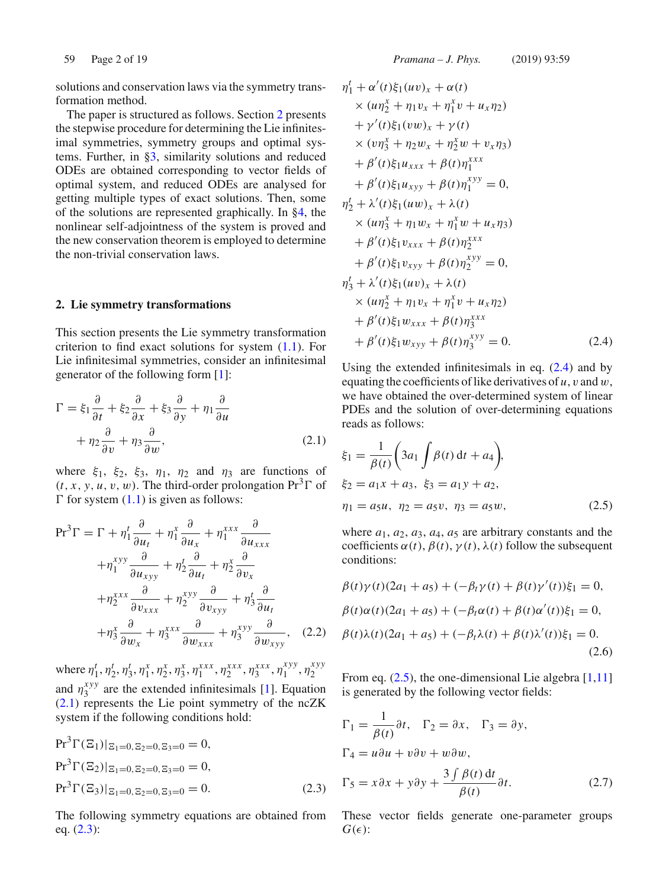solutions and conservation laws via the symmetry transformation method.

The paper is structured as follows. Section 2 presents the stepwise procedure for determining the Lie infinitesimal symmetries, symmetry groups and optimal systems. Further, in §3, similarity solutions and reduced ODEs are obtained corresponding to vector fields of optimal system, and reduced ODEs are analysed for getting multiple types of exact solutions. Then, some of the solutions are represented graphically. In §4, the nonlinear self-adjointness of the system is proved and the new conservation theorem is employed to determine the non-trivial conservation laws.

# **2. Lie symmetry transformations**

This section presents the Lie symmetry transformation criterion to find exact solutions for system  $(1.1)$ . For Lie infinitesimal symmetries, consider an infinitesimal generator of the following form [1]:

$$
\Gamma = \xi_1 \frac{\partial}{\partial t} + \xi_2 \frac{\partial}{\partial x} + \xi_3 \frac{\partial}{\partial y} + \eta_1 \frac{\partial}{\partial u} + \eta_2 \frac{\partial}{\partial v} + \eta_3 \frac{\partial}{\partial w},
$$
(2.1)

where  $\xi_1$ ,  $\xi_2$ ,  $\xi_3$ ,  $\eta_1$ ,  $\eta_2$  and  $\eta_3$  are functions of  $(t, x, y, u, v, w)$ . The third-order prolongation  $Pr<sup>3</sup> \Gamma$  of  $\Gamma$  for system (1.1) is given as follows:

$$
Pr3 \Gamma = \Gamma + \eta_1^t \frac{\partial}{\partial u_t} + \eta_1^x \frac{\partial}{\partial u_x} + \eta_1^{xxx} \frac{\partial}{\partial u_{xxx}}
$$
  
+ 
$$
\eta_1^{xyy} \frac{\partial}{\partial u_{xyy}} + \eta_2^t \frac{\partial}{\partial u_t} + \eta_2^x \frac{\partial}{\partial v_x}
$$
  
+ 
$$
\eta_2^{xxx} \frac{\partial}{\partial v_{xxx}} + \eta_2^{xyy} \frac{\partial}{\partial v_{xyy}} + \eta_3^t \frac{\partial}{\partial u_t}
$$
  
+ 
$$
\eta_3^x \frac{\partial}{\partial w_x} + \eta_3^{xxx} \frac{\partial}{\partial w_{xxx}} + \eta_3^{xyy} \frac{\partial}{\partial w_{xyy}}, \quad (2.2)
$$

where  $\eta_1^t$ ,  $\eta_2^t$ ,  $\eta_3^t$ ,  $\eta_1^x$ ,  $\eta_2^x$ ,  $\eta_3^x$ ,  $\eta_1^{xxx}$ ,  $\eta_2^{xxx}$ ,  $\eta_3^{xxx}$ ,  $\eta_1^{xyy}$ ,  $\eta_2^{xyy}$ and  $\eta_3^{xyy}$  are the extended infinitesimals [1]. Equation (2.1) represents the Lie point symmetry of the ncZK system if the following conditions hold:

$$
Pr3 \Gamma(\Xi_1)|_{\Xi_1=0, \Xi_2=0, \Xi_3=0} = 0,
$$
  
\n
$$
Pr3 \Gamma(\Xi_2)|_{\Xi_1=0, \Xi_2=0, \Xi_3=0} = 0,
$$
  
\n
$$
Pr3 \Gamma(\Xi_3)|_{\Xi_1=0, \Xi_2=0, \Xi_3=0} = 0.
$$
\n(2.3)

The following symmetry equations are obtained from eq. (2.3):

$$
\eta_1^t + \alpha'(t)\xi_1(uv)_x + \alpha(t) \n\times (u\eta_2^x + \eta_1 v_x + \eta_1^x v + u_x \eta_2) \n+ \gamma'(t)\xi_1(vw)_x + \gamma(t) \n\times (v\eta_3^x + \eta_2 w_x + \eta_2^x w + v_x \eta_3) \n+ \beta'(t)\xi_1 u_{xxx} + \beta(t)\eta_1^{xxx} \n+ \beta'(t)\xi_1 u_{xyy} + \beta(t)\eta_1^{xyy} = 0, \n\eta_2^t + \lambda'(t)\xi_1(uw)_x + \lambda(t) \n\times (u\eta_3^x + \eta_1 w_x + \eta_1^x w + u_x \eta_3) \n+ \beta'(t)\xi_1 v_{xxx} + \beta(t)\eta_2^{xyx} \n+ \beta'(t)\xi_1 v_{xyy} + \beta(t)\eta_2^{xyy} = 0, \n\eta_3^t + \lambda'(t)\xi_1(uv)_x + \lambda(t) \n\times (u\eta_2^x + \eta_1 v_x + \eta_1^x v + u_x \eta_2) \n+ \beta'(t)\xi_1 w_{xxx} + \beta(t)\eta_3^{xyx} = 0.
$$
\n(2.4)

Using the extended infinitesimals in eq.  $(2.4)$  and by equating the coefficients of like derivatives of *u*, v and w, we have obtained the over-determined system of linear PDEs and the solution of over-determining equations reads as follows:

$$
\xi_1 = \frac{1}{\beta(t)} \bigg( 3a_1 \int \beta(t) dt + a_4 \bigg),
$$
  
\n
$$
\xi_2 = a_1 x + a_3, \ \xi_3 = a_1 y + a_2,
$$
  
\n
$$
\eta_1 = a_5 u, \ \eta_2 = a_5 v, \ \eta_3 = a_5 w,
$$
\n(2.5)

where  $a_1$ ,  $a_2$ ,  $a_3$ ,  $a_4$ ,  $a_5$  are arbitrary constants and the coefficients  $\alpha(t)$ ,  $\beta(t)$ ,  $\gamma(t)$ ,  $\lambda(t)$  follow the subsequent conditions:

$$
\beta(t)\gamma(t)(2a_1 + a_5) + (-\beta_t\gamma(t) + \beta(t)\gamma'(t))\xi_1 = 0,\n\beta(t)\alpha(t)(2a_1 + a_5) + (-\beta_t\alpha(t) + \beta(t)\alpha'(t))\xi_1 = 0,\n\beta(t)\lambda(t)(2a_1 + a_5) + (-\beta_t\lambda(t) + \beta(t)\lambda'(t))\xi_1 = 0.
$$
\n(2.6)

From eq.  $(2.5)$ , the one-dimensional Lie algebra  $[1,11]$ is generated by the following vector fields:

$$
\Gamma_1 = \frac{1}{\beta(t)} \partial t, \quad \Gamma_2 = \partial x, \quad \Gamma_3 = \partial y,
$$
  
\n
$$
\Gamma_4 = u \partial u + v \partial v + w \partial w,
$$
  
\n
$$
\Gamma_5 = x \partial x + y \partial y + \frac{3 \int \beta(t) dt}{\beta(t)} \partial t.
$$
 (2.7)

These vector fields generate one-parameter groups  $G(\epsilon)$ :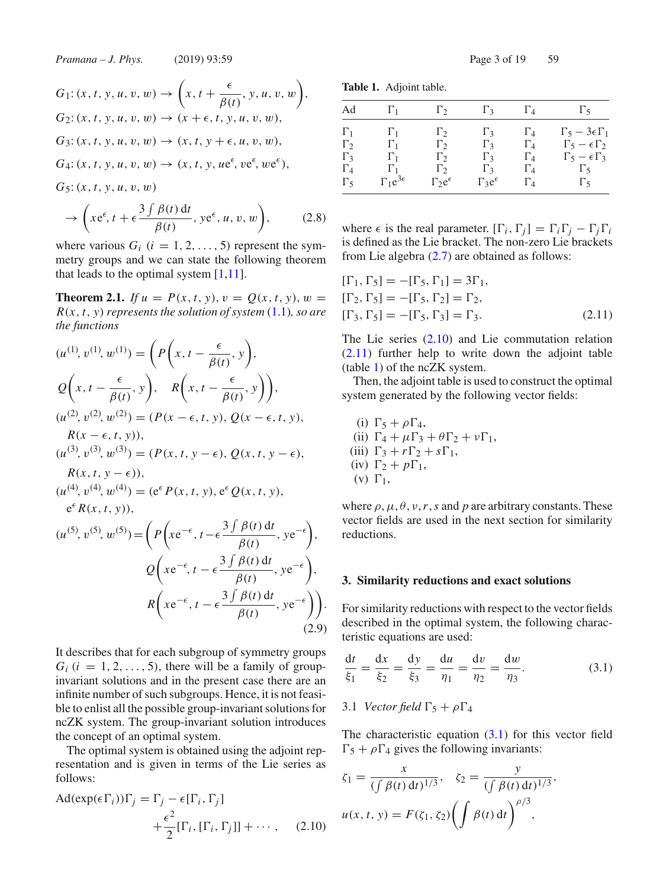$$
G_1: (x, t, y, u, v, w) \to \left(x, t + \frac{\epsilon}{\beta(t)}, y, u, v, w\right),
$$
  
\n
$$
G_2: (x, t, y, u, v, w) \to (x + \epsilon, t, y, u, v, w),
$$
  
\n
$$
G_3: (x, t, y, u, v, w) \to (x, t, y + \epsilon, u, v, w),
$$
  
\n
$$
G_4: (x, t, y, u, v, w) \to (x, t, y, u e^{\epsilon}, v e^{\epsilon}, w e^{\epsilon}),
$$
  
\n
$$
G_5: (x, t, y, u, v, w)
$$

$$
\rightarrow \left(xe^{\epsilon}, t + \epsilon \frac{3 \int \beta(t) dt}{\beta(t)}, ye^{\epsilon}, u, v, w\right), \tag{2.8}
$$

where various  $G_i$  ( $i = 1, 2, ..., 5$ ) represent the symmetry groups and we can state the following theorem that leads to the optimal system  $[1,11]$ .

**Theorem 2.1.** *If*  $u = P(x, t, y), v = Q(x, t, y), w =$  $R(x, t, y)$  *represents the solution of system*  $(1.1)$ *, so are the functions*

$$
(u^{(1)}, v^{(1)}, w^{(1)}) = \left( P\left(x, t - \frac{\epsilon}{\beta(t)}, y\right),
$$
  
\n
$$
Q\left(x, t - \frac{\epsilon}{\beta(t)}, y\right), R\left(x, t - \frac{\epsilon}{\beta(t)}, y\right) \right),
$$
  
\n
$$
(u^{(2)}, v^{(2)}, w^{(2)}) = (P(x - \epsilon, t, y), Q(x - \epsilon, t, y),
$$
  
\n
$$
R(x - \epsilon, t, y)),
$$
  
\n
$$
(u^{(3)}, v^{(3)}, w^{(3)}) = (P(x, t, y - \epsilon), Q(x, t, y - \epsilon),
$$
  
\n
$$
R(x, t, y - \epsilon)),
$$
  
\n
$$
(u^{(4)}, v^{(4)}, w^{(4)}) = (e^{\epsilon} P(x, t, y), e^{\epsilon} Q(x, t, y),
$$
  
\n
$$
e^{\epsilon} R(x, t, y)),
$$
  
\n
$$
(u^{(5)}, v^{(5)}, w^{(5)}) = \left( P\left(xe^{-\epsilon}, t - \epsilon \frac{3 \int \beta(t) dt}{\beta(t)}, ye^{-\epsilon}\right), \right)
$$
  
\n
$$
Q\left(xe^{-\epsilon}, t - \epsilon \frac{3 \int \beta(t) dt}{\beta(t)}, ye^{-\epsilon}\right),
$$
  
\n
$$
R\left(xe^{-\epsilon}, t - \epsilon \frac{3 \int \beta(t) dt}{\beta(t)}, ye^{-\epsilon}\right).
$$
  
\n(2.9)

It describes that for each subgroup of symmetry groups  $G_i$  ( $i = 1, 2, \ldots, 5$ ), there will be a family of groupinvariant solutions and in the present case there are an infinite number of such subgroups. Hence, it is not feasible to enlist all the possible group-invariant solutions for ncZK system. The group-invariant solution introduces the concept of an optimal system.

The optimal system is obtained using the adjoint representation and is given in terms of the Lie series as follows:

$$
\begin{aligned} \text{Ad}(\exp(\epsilon \Gamma_i))\Gamma_j &= \Gamma_j - \epsilon [\Gamma_i, \Gamma_j] \\ &+ \frac{\epsilon^2}{2} [\Gamma_i, [\Gamma_i, \Gamma_j]] + \cdots, \end{aligned} \tag{2.10}
$$

**Table 1.** Adjoint table.

| Ad                                                   | $\Gamma_1$                                           | $\Gamma_2$                                           | $\Gamma_3$                                           | $\Gamma_4$                                           | $\Gamma$ 5                                                                                                       |
|------------------------------------------------------|------------------------------------------------------|------------------------------------------------------|------------------------------------------------------|------------------------------------------------------|------------------------------------------------------------------------------------------------------------------|
| $\Gamma_1$<br>$\Gamma_2$<br>$\Gamma_3$<br>$\Gamma_4$ | $\Gamma_1$<br>$\Gamma_1$<br>$\Gamma_1$<br>$\Gamma_1$ | $\Gamma_2$<br>$\Gamma_2$<br>$\Gamma_2$<br>$\Gamma_2$ | $\Gamma_3$<br>$\Gamma_3$<br>$\Gamma_3$<br>$\Gamma_3$ | $\Gamma_4$<br>$\Gamma_4$<br>$\Gamma_4$<br>$\Gamma_4$ | $\Gamma_5 - 3\epsilon\Gamma_1$<br>$\Gamma_5 - \epsilon \Gamma_2$<br>$\Gamma_5 - \epsilon \Gamma_3$<br>$\Gamma$ 5 |
| $\Gamma_5$                                           | $\Gamma_1 e^{3\epsilon}$                             | $\Gamma_2 e^{\epsilon}$                              | $\Gamma_3 e^{\epsilon}$                              | $\Gamma_4$                                           | $\Gamma_5$                                                                                                       |

where  $\epsilon$  is the real parameter.  $[\Gamma_i, \Gamma_j] = \Gamma_i \Gamma_j - \Gamma_j \Gamma_i$ is defined as the Lie bracket. The non-zero Lie brackets from Lie algebra (2.7) are obtained as follows:

$$
[\Gamma_1, \Gamma_5] = -[\Gamma_5, \Gamma_1] = 3\Gamma_1, [\Gamma_2, \Gamma_5] = -[\Gamma_5, \Gamma_2] = \Gamma_2, [\Gamma_3, \Gamma_5] = -[\Gamma_5, \Gamma_3] = \Gamma_3.
$$
 (2.11)

The Lie series (2.10) and Lie commutation relation (2.11) further help to write down the adjoint table (table 1) of the ncZK system.

Then, the adjoint table is used to construct the optimal system generated by the following vector fields:

(i)  $\Gamma_5 + \rho \Gamma_4$ , (ii)  $\Gamma_4 + \mu \Gamma_3 + \theta \Gamma_2 + \nu \Gamma_1$ , (iii)  $\Gamma_3 + r\Gamma_2 + s\Gamma_1$ , (iv)  $\Gamma_2 + p\Gamma_1$ , (v)  $\Gamma_1$ ,

where  $\rho$ ,  $\mu$ ,  $\theta$ ,  $\nu$ ,  $r$ ,  $s$  and  $p$  are arbitrary constants. These vector fields are used in the next section for similarity reductions.

# **3. Similarity reductions and exact solutions**

For similarity reductions with respect to the vector fields described in the optimal system, the following characteristic equations are used:

$$
\frac{dt}{\xi_1} = \frac{dx}{\xi_2} = \frac{dy}{\xi_3} = \frac{du}{\eta_1} = \frac{dv}{\eta_2} = \frac{dw}{\eta_3}.
$$
 (3.1)

### 3.1 *Vector field*  $\Gamma_5 + \rho \Gamma_4$

The characteristic equation  $(3.1)$  for this vector field  $\Gamma_5 + \rho \Gamma_4$  gives the following invariants:

$$
\zeta_1 = \frac{x}{(\int \beta(t) dt)^{1/3}}, \quad \zeta_2 = \frac{y}{(\int \beta(t) dt)^{1/3}},
$$

$$
u(x, t, y) = F(\zeta_1, \zeta_2) \left(\int \beta(t) dt\right)^{\rho/3},
$$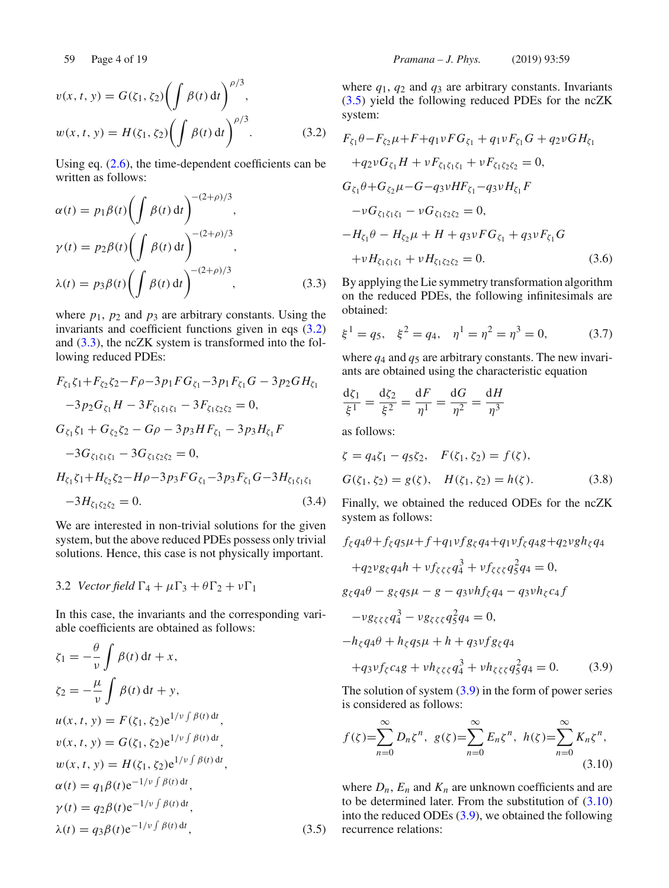$$
v(x, t, y) = G(\zeta_1, \zeta_2) \left( \int \beta(t) dt \right)^{\rho/3},
$$
  

$$
w(x, t, y) = H(\zeta_1, \zeta_2) \left( \int \beta(t) dt \right)^{\rho/3}.
$$
 (3.2)

Using eq. (2.6), the time-dependent coefficients can be written as follows:

$$
\alpha(t) = p_1 \beta(t) \left( \int \beta(t) dt \right)^{-(2+\rho)/3},
$$
  
\n
$$
\gamma(t) = p_2 \beta(t) \left( \int \beta(t) dt \right)^{-(2+\rho)/3},
$$
  
\n
$$
\lambda(t) = p_3 \beta(t) \left( \int \beta(t) dt \right)^{-(2+\rho)/3},
$$
\n(3.3)

where  $p_1$ ,  $p_2$  and  $p_3$  are arbitrary constants. Using the invariants and coefficient functions given in eqs (3.2) and (3.3), the ncZK system is transformed into the following reduced PDEs:

$$
F_{\zeta_1}\zeta_1 + F_{\zeta_2}\zeta_2 - F\rho - 3p_1FG_{\zeta_1} - 3p_1F_{\zeta_1}G - 3p_2GH_{\zeta_1} \n-3p_2G_{\zeta_1}H - 3F_{\zeta_1\zeta_1\zeta_1} - 3F_{\zeta_1\zeta_2\zeta_2} = 0, \nG_{\zeta_1}\zeta_1 + G_{\zeta_2}\zeta_2 - G\rho - 3p_3HF_{\zeta_1} - 3p_3H_{\zeta_1}F \n-3G_{\zeta_1\zeta_1\zeta_1} - 3G_{\zeta_1\zeta_2\zeta_2} = 0, \nH_{\zeta_1}\zeta_1 + H_{\zeta_2}\zeta_2 - H\rho - 3p_3FG_{\zeta_1} - 3p_3F_{\zeta_1}G - 3H_{\zeta_1\zeta_1\zeta_1} \n-3H_{\zeta_1\zeta_2\zeta_2} = 0.
$$
\n(3.4)

We are interested in non-trivial solutions for the given system, but the above reduced PDEs possess only trivial solutions. Hence, this case is not physically important.

### 3.2 *Vector field*  $\Gamma_4 + \mu \Gamma_3 + \theta \Gamma_2 + \nu \Gamma_1$

In this case, the invariants and the corresponding variable coefficients are obtained as follows:

$$
\zeta_1 = -\frac{\theta}{\nu} \int \beta(t) dt + x,
$$
  
\n
$$
\zeta_2 = -\frac{\mu}{\nu} \int \beta(t) dt + y,
$$
  
\n
$$
u(x, t, y) = F(\zeta_1, \zeta_2) e^{1/\nu \int \beta(t) dt},
$$
  
\n
$$
v(x, t, y) = G(\zeta_1, \zeta_2) e^{1/\nu \int \beta(t) dt},
$$
  
\n
$$
w(x, t, y) = H(\zeta_1, \zeta_2) e^{1/\nu \int \beta(t) dt},
$$
  
\n
$$
w(x, t, y) = H(\zeta_1, \zeta_2) e^{1/\nu \int \beta(t) dt},
$$
  
\n
$$
\alpha(t) = q_1 \beta(t) e^{-1/\nu \int \beta(t) dt},
$$
  
\n
$$
\gamma(t) = q_2 \beta(t) e^{-1/\nu \int \beta(t) dt},
$$
  
\n
$$
\lambda(t) = q_3 \beta(t) e^{-1/\nu \int \beta(t) dt},
$$
  
\n
$$
\lambda(t) = q_3 \beta(t) e^{-1/\nu \int \beta(t) dt},
$$
  
\n
$$
\zeta_1 = \zeta_2 \beta(t) e^{-1/\nu \int \beta(t) dt},
$$
  
\n
$$
\zeta_2 = \zeta_3 \beta(t) e^{-1/\nu \int \beta(t) dt},
$$
  
\n
$$
\zeta_3 = \zeta_3 \beta(t) e^{-1/\nu \int \beta(t) dt},
$$
  
\n
$$
\zeta_4 = \zeta_4 \zeta_5 \zeta_7
$$
  
\n
$$
\zeta_5 = \zeta_7 \zeta_8
$$
  
\n
$$
\zeta_7 = \zeta_7 \zeta_8
$$
  
\n
$$
\zeta_8 = \zeta_7 \zeta_8
$$
  
\n
$$
\zeta_9 = \zeta_8
$$
  
\n
$$
\zeta_1 = \zeta_9
$$
  
\n
$$
\zeta_1 = \zeta_1 \zeta_2 e^{1/\nu \int \beta(t) dt},
$$
  
\n
$$
\zeta_1 = \zeta_1 e^{1/\nu \int \beta(t) dt},
$$
  
\n
$$
\zeta_2 = \zeta_3 e^{
$$

where  $q_1$ ,  $q_2$  and  $q_3$  are arbitrary constants. Invariants (3.5) yield the following reduced PDEs for the ncZK system:

$$
F_{\zeta_1} \theta - F_{\zeta_2} \mu + F + q_1 \nu F G_{\zeta_1} + q_1 \nu F_{\zeta_1} G + q_2 \nu G H_{\zeta_1}
$$
  
+ $q_2 \nu G_{\zeta_1} H + \nu F_{\zeta_1 \zeta_1 \zeta_1} + \nu F_{\zeta_1 \zeta_2 \zeta_2} = 0,$   
 $G_{\zeta_1} \theta + G_{\zeta_2} \mu - G - q_3 \nu H F_{\zeta_1} - q_3 \nu H_{\zeta_1} F$   
- $\nu G_{\zeta_1 \zeta_1 \zeta_1} - \nu G_{\zeta_1 \zeta_2 \zeta_2} = 0,$   
- $H_{\zeta_1} \theta - H_{\zeta_2} \mu + H + q_3 \nu F G_{\zeta_1} + q_3 \nu F_{\zeta_1} G$   
+ $\nu H_{\zeta_1 \zeta_1 \zeta_1} + \nu H_{\zeta_1 \zeta_2 \zeta_2} = 0.$  (3.6)

By applying the Lie symmetry transformation algorithm on the reduced PDEs, the following infinitesimals are obtained:

$$
\xi^1 = q_5, \quad \xi^2 = q_4, \quad \eta^1 = \eta^2 = \eta^3 = 0,
$$
 (3.7)

where  $q_4$  and  $q_5$  are arbitrary constants. The new invariants are obtained using the characteristic equation

$$
\frac{d\zeta_1}{\xi^1} = \frac{d\zeta_2}{\xi^2} = \frac{dF}{\eta^1} = \frac{dG}{\eta^2} = \frac{dH}{\eta^3}
$$

as follows:

$$
\zeta = q_4 \zeta_1 - q_5 \zeta_2, \quad F(\zeta_1, \zeta_2) = f(\zeta), G(\zeta_1, \zeta_2) = g(\zeta), \quad H(\zeta_1, \zeta_2) = h(\zeta).
$$
 (3.8)

Finally, we obtained the reduced ODEs for the ncZK system as follows:

$$
f_{\zeta}q_{4}\theta + f_{\zeta}q_{5}\mu + f + q_{1}\nu f_{\zeta}q_{4} + q_{1}\nu f_{\zeta}q_{4}g + q_{2}\nu gh_{\zeta}q_{4}
$$
  
+
$$
q_{2}\nu g_{\zeta}q_{4}h + \nu f_{\zeta\zeta\zeta}q_{4}^{3} + \nu f_{\zeta\zeta\zeta}q_{5}^{2}q_{4} = 0,
$$
  

$$
g_{\zeta}q_{4}\theta - g_{\zeta}q_{5}\mu - g - q_{3}\nu hf_{\zeta}q_{4} - q_{3}\nu h_{\zeta}c_{4}f
$$
  
-
$$
\nu g_{\zeta\zeta\zeta}q_{4}^{3} - \nu g_{\zeta\zeta\zeta}q_{5}^{2}q_{4} = 0,
$$
  

$$
-h_{\zeta}q_{4}\theta + h_{\zeta}q_{5}\mu + h + q_{3}\nu fg_{\zeta}q_{4}
$$
  
+
$$
q_{3}\nu f_{\zeta}c_{4}g + \nu h_{\zeta\zeta\zeta}q_{4}^{3} + \nu h_{\zeta\zeta\zeta}q_{5}^{2}q_{4} = 0.
$$
 (3.9)

The solution of system  $(3.9)$  in the form of power series is considered as follows:

$$
f(\zeta) = \sum_{n=0}^{\infty} D_n \zeta^n, \ g(\zeta) = \sum_{n=0}^{\infty} E_n \zeta^n, \ h(\zeta) = \sum_{n=0}^{\infty} K_n \zeta^n,
$$
\n(3.10)

where  $D_n$ ,  $E_n$  and  $K_n$  are unknown coefficients and are to be determined later. From the substitution of  $(3.10)$ into the reduced ODEs (3.9), we obtained the following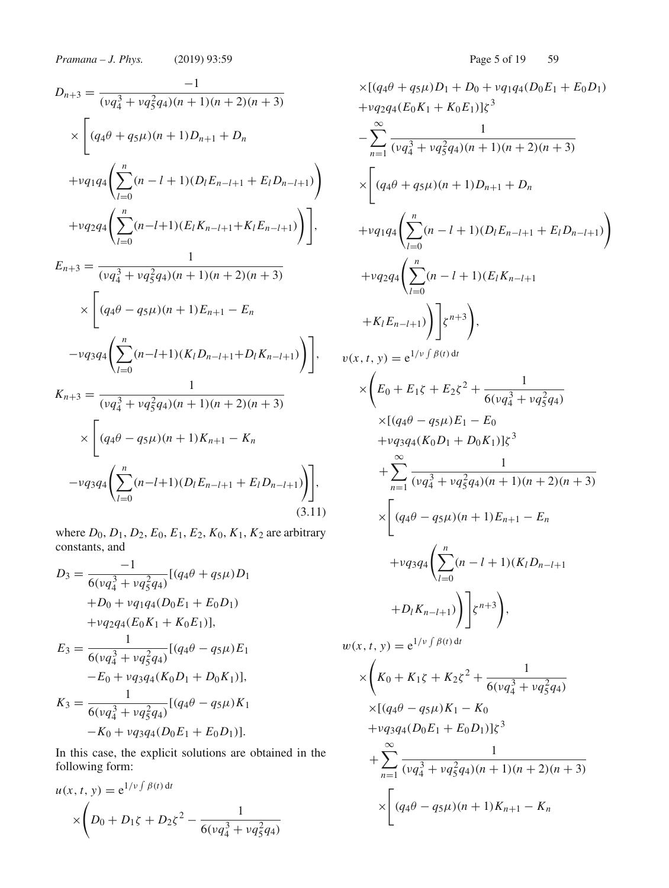$$
D_{n+3} = \frac{-1}{(\nu q_4^3 + \nu q_5^2 q_4)(n+1)(n+2)(n+3)}
$$
  
\n
$$
\times \left[ (q_4 \theta + q_5 \mu)(n+1)D_{n+1} + D_n + \nu q_1 q_4 \left( \sum_{l=0}^n (n-l+1)(D_l E_{n-l+1} + E_l D_{n-l+1}) \right) + \nu q_2 q_4 \left( \sum_{l=0}^n (n-l+1)(E_l K_{n-l+1} + K_l E_{n-l+1}) \right) \right],
$$
  
\n
$$
E_{n+3} = \frac{1}{(\nu q_4^3 + \nu q_5^2 q_4)(n+1)(n+2)(n+3)}
$$
  
\n
$$
\times \left[ (q_4 \theta - q_5 \mu)(n+1)E_{n+1} - E_n - \nu q_3 q_4 \left( \sum_{l=0}^n (n-l+1)(K_l D_{n-l+1} + D_l K_{n-l+1}) \right) \right],
$$
  
\n
$$
K_{n+3} = \frac{1}{(\nu q_4^3 + \nu q_5^2 q_4)(n+1)(n+2)(n+3)}
$$
  
\n
$$
\times \left[ (q_4 \theta - q_5 \mu)(n+1)K_{n+1} - K_n - \nu q_3 q_4 \left( \sum_{l=0}^n (n-l+1)(D_l E_{n-l+1} + E_l D_{n-l+1}) \right) \right],
$$
  
\n(3.11)

where  $D_0$ ,  $D_1$ ,  $D_2$ ,  $E_0$ ,  $E_1$ ,  $E_2$ ,  $K_0$ ,  $K_1$ ,  $K_2$  are arbitrary constants, and

$$
D_3 = \frac{-1}{6(\nu q_4^3 + \nu q_5^2 q_4)} [(q_4\theta + q_5\mu)D_1
$$
  
+  $D_0 + \nu q_1 q_4 (D_0 E_1 + E_0 D_1)$   
+  $\nu q_2 q_4 (E_0 K_1 + K_0 E_1)],$   

$$
E_3 = \frac{1}{6(\nu q_4^3 + \nu q_5^2 q_4)} [(q_4\theta - q_5\mu)E_1
$$
  
-  $E_0 + \nu q_3 q_4 (K_0 D_1 + D_0 K_1)],$   

$$
K_3 = \frac{1}{6(\nu q_4^3 + \nu q_5^2 q_4)} [(q_4\theta - q_5\mu)K_1
$$
  
-  $K_0 + \nu q_3 q_4 (D_0 E_1 + E_0 D_1)].$ 

In this case, the explicit solutions are obtained in the following form:

$$
u(x, t, y) = e^{1/\nu \int \beta(t) dt}
$$
  
 
$$
\times \left( D_0 + D_1 \zeta + D_2 \zeta^2 - \frac{1}{6(\nu q_4^3 + \nu q_5^2 q_4)} \right)
$$

$$
\times [(q_{4}\theta + q_{5}\mu)D_{1} + D_{0} + v_{q_{1}q_{4}}(D_{0}E_{1} + E_{0}D_{1})
$$
  
\n
$$
+ v_{q_{2}q_{4}}(E_{0}K_{1} + K_{0}E_{1})]\zeta^{3}
$$
  
\n
$$
- \sum_{n=1}^{\infty} \frac{1}{(v_{q_{4}}^{3} + v_{q_{5}}^{2}q_{4})(n+1)(n+2)(n+3)}
$$
  
\n
$$
\times \left[ (q_{4}\theta + q_{5}\mu)(n+1)D_{n+1} + D_{n} + v_{q_{1}q_{4}} \left( \sum_{l=0}^{n} (n-l+1)(D_{l}E_{n-l+1} + E_{l}D_{n-l+1}) \right) + v_{q_{2}q_{4}} \left( \sum_{l=0}^{n} (n-l+1)(E_{l}K_{n-l+1} + E_{l}D_{n-l+1}) \right) \zeta^{n+3} \right),
$$
  
\n
$$
v(x, t, y) = e^{1/\nu \int \beta(t) dt}
$$
  
\n
$$
\times \left( E_{0} + E_{1}\zeta + E_{2}\zeta^{2} + \frac{1}{6(v_{q_{4}}^{3} + v_{q_{5}}^{2}q_{4})} \right) \times [(q_{4}\theta - q_{5}\mu)E_{1} - E_{0} + v_{q_{3}q_{4}}(K_{0}D_{1} + D_{0}K_{1})]\zeta^{3}
$$
  
\n
$$
+ \sum_{n=1}^{\infty} \frac{1}{(v_{q_{4}}^{3} + v_{q_{5}}^{2}q_{4})(n+1)(n+2)(n+3)}
$$
  
\n
$$
\times \left[ (q_{4}\theta - q_{5}\mu)(n+1)E_{n+1} - E_{n} + v_{q_{3}q_{4}} \left( \sum_{l=0}^{n} (n-l+1)(K_{l}D_{n-l+1} + D_{l}K_{n-l+1}) \right) \right] \zeta^{n+3} \right),
$$
  
\n
$$
w(x, t, y) = e^{1/\nu \int \beta(t) dt}
$$
  
\n
$$
\times \left( K_{0} + K_{1}\zeta + K_{2}\zeta^{2} + \frac{1}{6(v_{q_{4}}^{3} + v_{q
$$

$$
\times \Bigg[ (q_4 \theta - q_5 \mu)(n+1) K_{n+1} - K_n
$$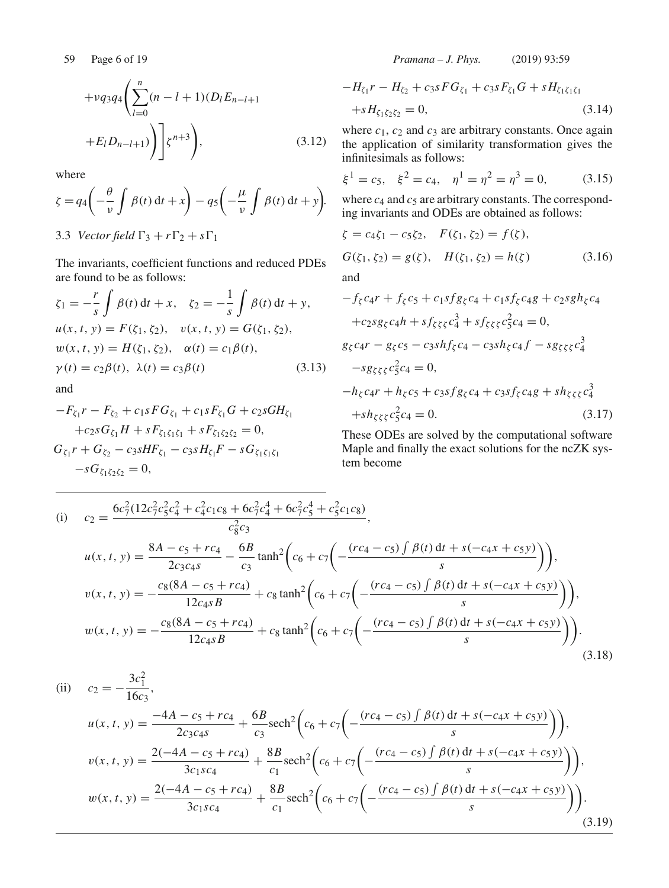$$
+ \nu q_3 q_4 \left( \sum_{l=0}^n (n-l+1) (D_l E_{n-l+1}) + E_l D_{n-l+1} \right) \Bigg] \zeta^{n+3} \Bigg), \tag{3.12}
$$

where

$$
\zeta = q_4 \left( -\frac{\theta}{\nu} \int \beta(t) dt + x \right) - q_5 \left( -\frac{\mu}{\nu} \int \beta(t) dt + y \right).
$$

3.3 *Vector field*  $\Gamma_3 + r\Gamma_2 + s\Gamma_1$ 

The invariants, coefficient functions and reduced PDEs are found to be as follows:

$$
\zeta_1 = -\frac{r}{s} \int \beta(t) dt + x, \quad \zeta_2 = -\frac{1}{s} \int \beta(t) dt + y,
$$
  
\n
$$
u(x, t, y) = F(\zeta_1, \zeta_2), \quad v(x, t, y) = G(\zeta_1, \zeta_2),
$$
  
\n
$$
w(x, t, y) = H(\zeta_1, \zeta_2), \quad \alpha(t) = c_1 \beta(t),
$$
  
\n
$$
\gamma(t) = c_2 \beta(t), \quad \lambda(t) = c_3 \beta(t)
$$
\n(3.13)  
\nand

$$
-F_{\zeta_1}r - F_{\zeta_2} + c_{1s}FG_{\zeta_1} + c_{1s}F_{\zeta_1}G + c_{2s}GH_{\zeta_1}
$$
  
+
$$
c_{2s}G_{\zeta_1}H + sF_{\zeta_1\zeta_1\zeta_1} + sF_{\zeta_1\zeta_2\zeta_2} = 0,
$$
  

$$
G_{\zeta_1}r + G_{\zeta_2} - c_{3s}HF_{\zeta_1} - c_{3s}H_{\zeta_1}F - sG_{\zeta_1\zeta_1\zeta_1}
$$
  
-
$$
sG_{\zeta_1\zeta_2\zeta_2} = 0,
$$

59 Page 6 of 19 *Pramana – J. Phys.* (2019) 93:59

$$
-H_{\zeta_1}r - H_{\zeta_2} + c_{3}sFG_{\zeta_1} + c_{3}sF_{\zeta_1}G + sH_{\zeta_1\zeta_1\zeta_1} + sH_{\zeta_1\zeta_2\zeta_2} = 0,
$$
\n(3.14)

where  $c_1$ ,  $c_2$  and  $c_3$  are arbitrary constants. Once again the application of similarity transformation gives the infinitesimals as follows:

$$
\xi^1 = c_5, \quad \xi^2 = c_4, \quad \eta^1 = \eta^2 = \eta^3 = 0,
$$
 (3.15)

where  $c_4$  and  $c_5$  are arbitrary constants. The corresponding invariants and ODEs are obtained as follows:

$$
\zeta = c_4 \zeta_1 - c_5 \zeta_2, \quad F(\zeta_1, \zeta_2) = f(\zeta),
$$
  
\n
$$
G(\zeta_1, \zeta_2) = g(\zeta), \quad H(\zeta_1, \zeta_2) = h(\zeta) \tag{3.16}
$$
  
\nand  
\n
$$
-f_2 \zeta_1 + f_3 \zeta_2 + c_1 g f_3 \zeta_1 + c_1 g f_2 \zeta_2 + c_2 g g h_3 \zeta_1
$$

$$
-J_{\zeta}c_{4}r + J_{\zeta}c_{5} + c_{1}sj_{g_{\zeta}c_{4}} + c_{1}s_{J_{\zeta}c_{4}}g + c_{2}s_{g_{n_{\zeta}c_{4}}}
$$

$$
+ c_{2}s_{g_{\zeta}c_{4}}h + sf_{\zeta\zeta\zeta}c_{4}^{3} + sf_{\zeta\zeta\zeta}c_{5}^{2}c_{4} = 0,
$$

$$
g_{\zeta}c_{4}r - g_{\zeta}c_{5} - c_{3}shf_{\zeta}c_{4} - c_{3}sh_{\zeta}c_{4}f - s_{g_{\zeta}\zeta\zeta}c_{4}^{3}
$$

$$
- s_{g_{\zeta}\zeta\zeta}c_{5}^{2}c_{4} = 0,
$$

$$
-h_{\zeta}c_{4}r + h_{\zeta}c_{5} + c_{3}sfg_{\zeta}c_{4} + c_{3}sf_{\zeta}c_{4}g + sh_{\zeta\zeta\zeta}c_{4}^{3}
$$

$$
+ sh_{\zeta\zeta\zeta}c_{5}^{2}c_{4} = 0.
$$
(3.17)

These ODEs are solved by the computational software Maple and finally the exact solutions for the ncZK system become

(i) 
$$
c_2 = \frac{6c_7^2(12c_7^2c_5^2c_4^2 + c_4^2c_1c_8 + 6c_7^2c_4^4 + 6c_7^2c_5^4 + c_5^2c_1c_8)}{c_8^2c_3},
$$
  
\n
$$
u(x, t, y) = \frac{8A - c_5 + rc_4}{2c_3c_4s} - \frac{6B}{c_3}\tanh^2\left(c_6 + c_7\left(-\frac{(rc_4 - c_5)\int\beta(t) dt + s(-c_4x + c_5y)}{s}\right)\right),
$$
  
\n
$$
v(x, t, y) = -\frac{c_8(8A - c_5 + rc_4)}{12c_4sB} + c_8\tanh^2\left(c_6 + c_7\left(-\frac{(rc_4 - c_5)\int\beta(t) dt + s(-c_4x + c_5y)}{s}\right)\right),
$$
  
\n
$$
w(x, t, y) = -\frac{c_8(8A - c_5 + rc_4)}{12c_4sB} + c_8\tanh^2\left(c_6 + c_7\left(-\frac{(rc_4 - c_5)\int\beta(t) dt + s(-c_4x + c_5y)}{s}\right)\right).
$$
  
\n(3.18)

(ii) 
$$
c_2 = -\frac{3c_1^2}{16c_3},
$$

$$
u(x, t, y) = \frac{-4A - c_5 + rc_4}{2c_3c_4s} + \frac{6B}{c_3}\text{sech}^2\left(c_6 + c_7\left(-\frac{(rc_4 - c_5)\int \beta(t) dt + s(-c_4x + c_5y)}{s}\right)\right),
$$

$$
v(x, t, y) = \frac{2(-4A - c_5 + rc_4)}{3c_1sc_4} + \frac{8B}{c_1}\text{sech}^2\left(c_6 + c_7\left(-\frac{(rc_4 - c_5)\int \beta(t) dt + s(-c_4x + c_5y)}{s}\right)\right),
$$

$$
w(x, t, y) = \frac{2(-4A - c_5 + rc_4)}{3c_1sc_4} + \frac{8B}{c_1}\text{sech}^2\left(c_6 + c_7\left(-\frac{(rc_4 - c_5)\int \beta(t) dt + s(-c_4x + c_5y)}{s}\right)\right).
$$
(3.19)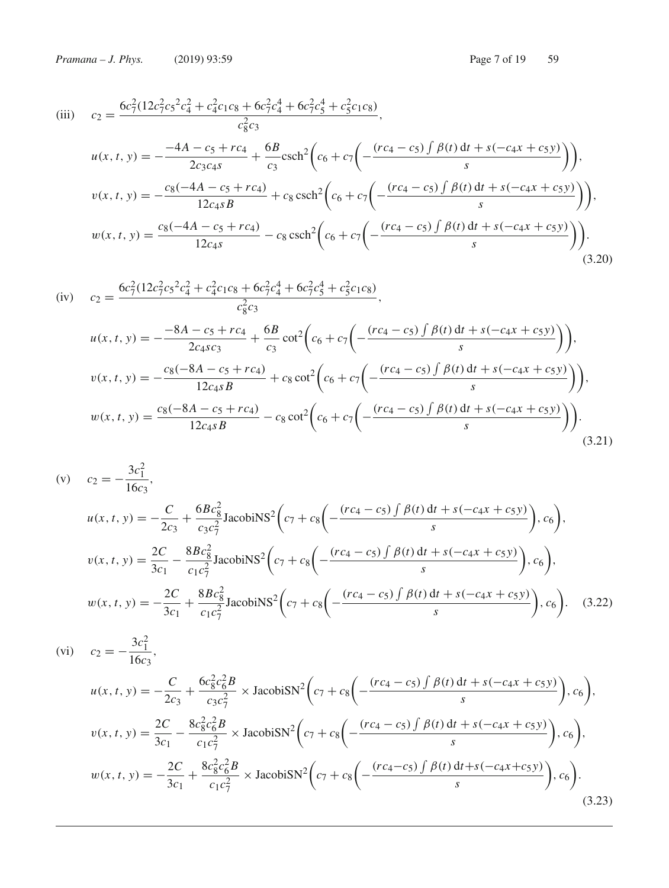(iii) 
$$
c_2 = \frac{6c_7^2(12c_7^2c_5^2c_4^2 + c_4^2c_1c_8 + 6c_7^2c_4^4 + 6c_7^2c_5^4 + c_5^2c_1c_8)}{c_8^2c_3},
$$
  
\n
$$
u(x, t, y) = -\frac{-4A - c_5 + rc_4}{2c_3c_4s} + \frac{6B}{c_3}\text{csch}^2\left(c_6 + c_7\left(-\frac{(rc_4 - c_5)\int \beta(t) dt + s(-c_4x + c_5y)}{s}\right)\right),
$$
  
\n
$$
v(x, t, y) = -\frac{c_8(-4A - c_5 + rc_4)}{12c_4sB} + c_8\text{csch}^2\left(c_6 + c_7\left(-\frac{(rc_4 - c_5)\int \beta(t) dt + s(-c_4x + c_5y)}{s}\right)\right),
$$
  
\n
$$
w(x, t, y) = \frac{c_8(-4A - c_5 + rc_4)}{12c_4s} - c_8\text{csch}^2\left(c_6 + c_7\left(-\frac{(rc_4 - c_5)\int \beta(t) dt + s(-c_4x + c_5y)}{s}\right)\right).
$$
  
\n(3.20)

$$
\begin{aligned}\n\text{(iv)} \quad & c_2 = \frac{6c_7^2(12c_7^2c_5^2c_4^2 + c_4^2c_1c_8 + 6c_7^2c_4^4 + 6c_7^2c_5^4 + c_5^2c_1c_8)}{c_8^2c_3}, \\
& u(x, t, y) = -\frac{-8A - c_5 + rc_4}{2c_4sc_3} + \frac{6B}{c_3}\cot^2\left(c_6 + c_7\left(-\frac{(rc_4 - c_5)\int\beta(t)dt + s(-c_4x + c_5y)}{s}\right)\right), \\
& v(x, t, y) = -\frac{c_8(-8A - c_5 + rc_4)}{12c_4sB} + c_8\cot^2\left(c_6 + c_7\left(-\frac{(rc_4 - c_5)\int\beta(t)dt + s(-c_4x + c_5y)}{s}\right)\right), \\
& w(x, t, y) = \frac{c_8(-8A - c_5 + rc_4)}{12c_4sB} - c_8\cot^2\left(c_6 + c_7\left(-\frac{(rc_4 - c_5)\int\beta(t)dt + s(-c_4x + c_5y)}{s}\right)\right).\n\end{aligned}
$$
\n
$$
(3.21)
$$

(v) 
$$
c_2 = -\frac{3c_1^2}{16c_3},
$$
  
\n
$$
u(x, t, y) = -\frac{C}{2c_3} + \frac{6Bc_8^2}{c_3c_7^2} \text{Jacobi}\text{NS}^2 \bigg(c_7 + c_8\bigg(-\frac{(rc_4 - c_5)\int \beta(t) dt + s(-c_4x + c_5y)}{s}\bigg), c_6\bigg),
$$
  
\n
$$
v(x, t, y) = \frac{2C}{3c_1} - \frac{8Bc_8^2}{c_1c_7^2} \text{Jacobi}\text{NS}^2 \bigg(c_7 + c_8\bigg(-\frac{(rc_4 - c_5)\int \beta(t) dt + s(-c_4x + c_5y)}{s}\bigg), c_6\bigg),
$$
  
\n
$$
w(x, t, y) = -\frac{2C}{3c_1} + \frac{8Bc_8^2}{c_1c_7^2} \text{Jacobi}\text{NS}^2 \bigg(c_7 + c_8\bigg(-\frac{(rc_4 - c_5)\int \beta(t) dt + s(-c_4x + c_5y)}{s}\bigg), c_6\bigg).
$$
 (3.22)

$$
(vi) \t c_2 = -\frac{3c_1^2}{16c_3},
$$
  
\n
$$
u(x, t, y) = -\frac{C}{2c_3} + \frac{6c_8^2c_6^2B}{c_3c_7^2} \times \text{JacobiSN}^2 \Big( c_7 + c_8 \Big( -\frac{(rc_4 - c_5) \int \beta(t) dt + s(-c_4x + c_5y)}{s} \Big), c_6 \Big),
$$
  
\n
$$
v(x, t, y) = \frac{2C}{3c_1} - \frac{8c_8^2c_6^2B}{c_1c_7^2} \times \text{JacobiSN}^2 \Big( c_7 + c_8 \Big( -\frac{(rc_4 - c_5) \int \beta(t) dt + s(-c_4x + c_5y)}{s} \Big), c_6 \Big),
$$
  
\n
$$
w(x, t, y) = -\frac{2C}{3c_1} + \frac{8c_8^2c_6^2B}{c_1c_7^2} \times \text{JacobiSN}^2 \Big( c_7 + c_8 \Big( -\frac{(rc_4 - c_5) \int \beta(t) dt + s(-c_4x + c_5y)}{s} \Big), c_6 \Big).
$$
  
\n
$$
(3.23)
$$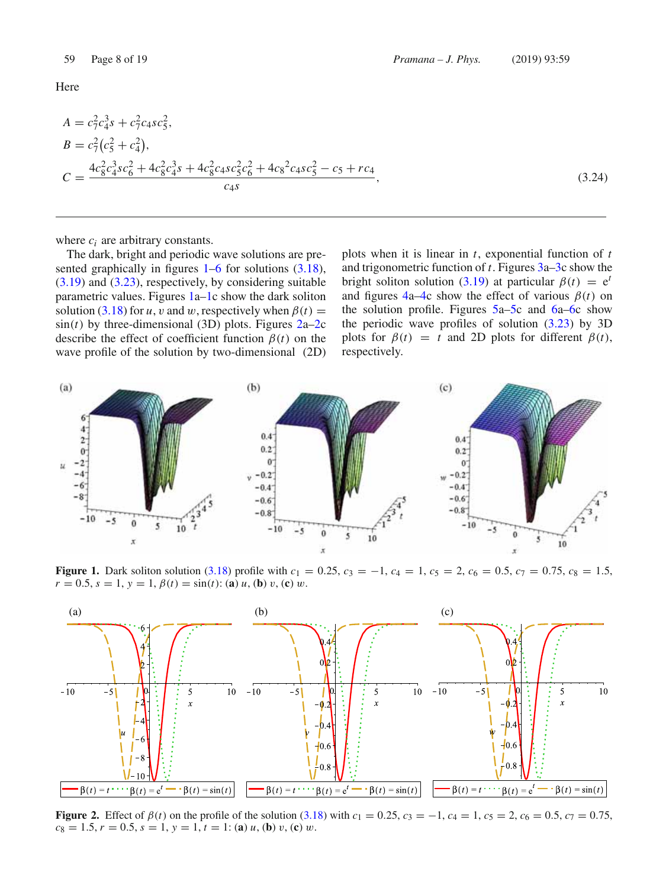Here

$$
A = c_7^2 c_4^3 s + c_7^2 c_4 s c_5^2,
$$
  
\n
$$
B = c_7^2 (c_5^2 + c_4^2),
$$
  
\n
$$
C = \frac{4c_8^2 c_4^3 s c_6^2 + 4c_8^2 c_4^3 s + 4c_8^2 c_4 s c_5^2 c_6^2 + 4c_8^2 c_4 s c_5^2 - c_5 + r c_4}{c_4 s},
$$
\n(3.24)

where  $c_i$  are arbitrary constants.

The dark, bright and periodic wave solutions are presented graphically in figures  $1-6$  for solutions  $(3.18)$ ,  $(3.19)$  and  $(3.23)$ , respectively, by considering suitable parametric values. Figures 1a–1c show the dark soliton solution (3.18) for *u*, *v* and *w*, respectively when  $\beta(t)$  =  $sin(t)$  by three-dimensional (3D) plots. Figures  $2a-2c$ describe the effect of coefficient function  $\beta(t)$  on the wave profile of the solution by two-dimensional (2D) plots when it is linear in *t*, exponential function of *t* and trigonometric function of *t*. Figures 3a–3c show the bright soliton solution (3.19) at particular  $\beta(t) = e^t$ and figures  $4a-4c$  show the effect of various  $\beta(t)$  on the solution profile. Figures 5a–5c and 6a–6c show the periodic wave profiles of solution (3.23) by 3D plots for  $\beta(t) = t$  and 2D plots for different  $\beta(t)$ , respectively.



**Figure 1.** Dark soliton solution (3.18) profile with  $c_1 = 0.25$ ,  $c_3 = -1$ ,  $c_4 = 1$ ,  $c_5 = 2$ ,  $c_6 = 0.5$ ,  $c_7 = 0.75$ ,  $c_8 = 1.5$ ,  $r = 0.5$ ,  $s = 1$ ,  $y = 1$ ,  $\beta(t) = \sin(t)$ : (**a**) *u*, (**b**) *v*, (**c**) *w*.



**Figure 2.** Effect of  $\beta(t)$  on the profile of the solution (3.18) with  $c_1 = 0.25$ ,  $c_3 = -1$ ,  $c_4 = 1$ ,  $c_5 = 2$ ,  $c_6 = 0.5$ ,  $c_7 = 0.75$ ,  $c_8 = 1.5, r = 0.5, s = 1, y = 1, t = 1$ : (**a**) *u*, (**b**) *v*, (**c**) *w*.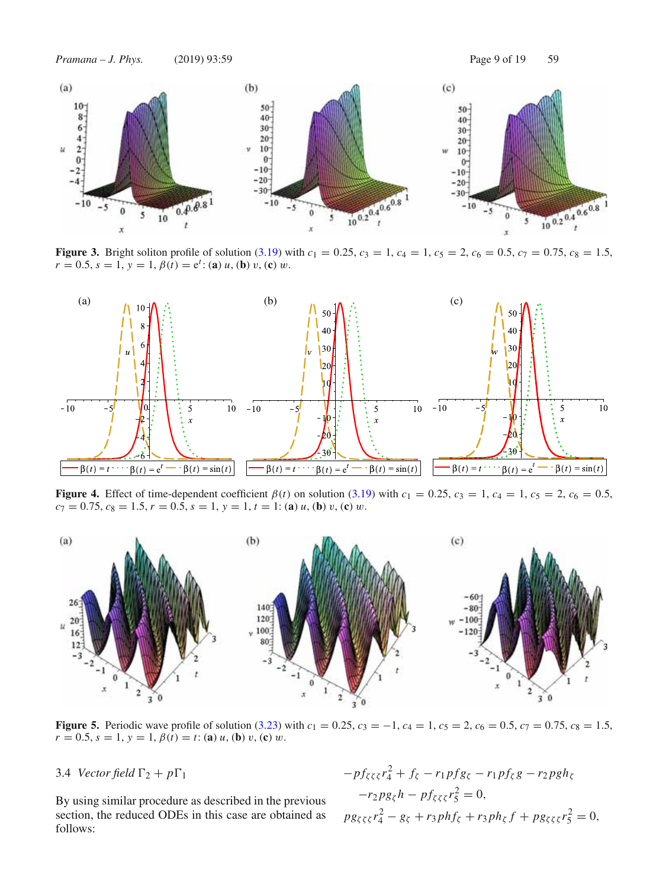

**Figure 3.** Bright soliton profile of solution (3.19) with  $c_1 = 0.25$ ,  $c_3 = 1$ ,  $c_4 = 1$ ,  $c_5 = 2$ ,  $c_6 = 0.5$ ,  $c_7 = 0.75$ ,  $c_8 = 1.5$ ,  $r = 0.5, s = 1, y = 1, \beta(t) = e^t$ : (**a**) *u*, (**b**) *v*, (**c**) *w*.



**Figure 4.** Effect of time-dependent coefficient  $\beta(t)$  on solution (3.19) with  $c_1 = 0.25$ ,  $c_3 = 1$ ,  $c_4 = 1$ ,  $c_5 = 2$ ,  $c_6 = 0.5$ ,  $c_7 = 0.75, c_8 = 1.5, r = 0.5, s = 1, y = 1, t = 1$ : (**a**) *u*, (**b**) *v*, (**c**) *w*.



**Figure 5.** Periodic wave profile of solution (3.23) with  $c_1 = 0.25$ ,  $c_3 = -1$ ,  $c_4 = 1$ ,  $c_5 = 2$ ,  $c_6 = 0.5$ ,  $c_7 = 0.75$ ,  $c_8 = 1.5$ ,  $r = 0.5$ ,  $s = 1$ ,  $y = 1$ ,  $\beta(t) = t$ : (**a**) *u*, (**b**) *v*, (**c**) *w*.

3.4 *Vector field*  $\Gamma_2 + p\Gamma_1$ 

By using similar procedure as described in the previous section, the reduced ODEs in this case are obtained as follows:

$$
-pf_{\zeta\zeta\xi}r_{4}^{2} + f_{\zeta} - r_{1}pf_{g_{\zeta}} - r_{1}pf_{\zeta}g - r_{2}pgh_{\zeta} -r_{2}pg_{\zeta}h - pf_{\zeta\zeta\zeta}r_{5}^{2} = 0,
$$
  

$$
pg_{\zeta\zeta\xi}r_{4}^{2} - g_{\zeta} + r_{3}phf_{\zeta} + r_{3}ph_{\zeta}f + pg_{\zeta\zeta\zeta}r_{5}^{2} = 0,
$$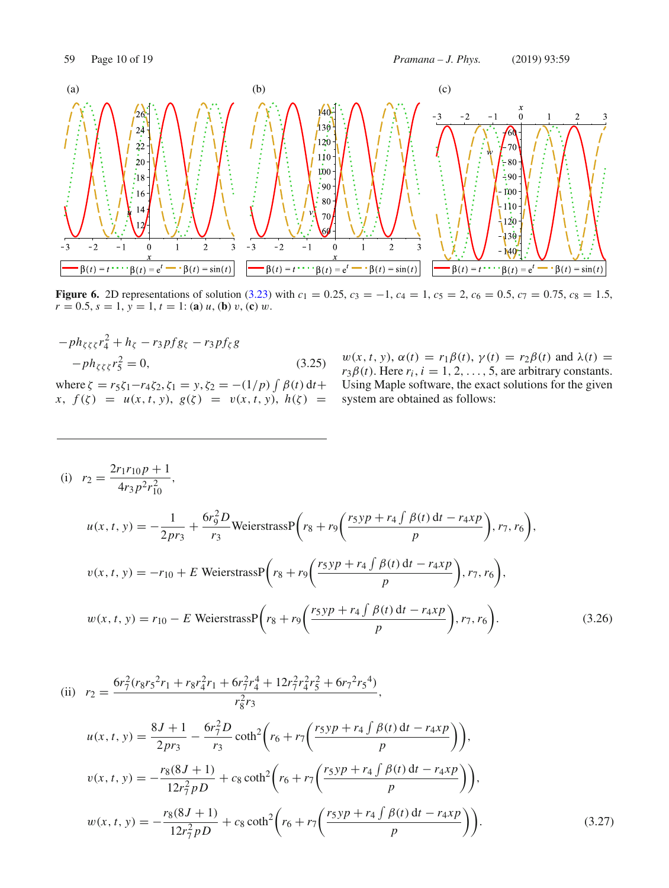

**Figure 6.** 2D representations of solution (3.23) with  $c_1 = 0.25$ ,  $c_3 = -1$ ,  $c_4 = 1$ ,  $c_5 = 2$ ,  $c_6 = 0.5$ ,  $c_7 = 0.75$ ,  $c_8 = 1.5$ ,  $r = 0.5, s = 1, y = 1, t = 1$ : (**a**) *u*, (**b**) *v*, (**c**) *w*.

$$
-ph_{\zeta\zeta\zeta}r_{4}^{2} + h_{\zeta} - r_{3}pf_{\zeta\zeta} - r_{3}pf_{\zeta}g
$$
  
\n
$$
-ph_{\zeta\zeta\zeta}r_{5}^{2} = 0,
$$
  
\nwhere  $\zeta = r_{5}\zeta_{1} - r_{4}\zeta_{2}, \zeta_{1} = y, \zeta_{2} = -(1/p)\int \beta(t) dt + x, f(\zeta) = u(x, t, y), g(\zeta) = v(x, t, y), h(\zeta) = 0$ 

 $w(x, t, y), \alpha(t) = r_1 \beta(t), \gamma(t) = r_2 \beta(t)$  and  $\lambda(t) =$  $r_3\beta(t)$ . Here  $r_i$ ,  $i = 1, 2, ..., 5$ , are arbitrary constants. Using Maple software, the exact solutions for the given system are obtained as follows:

(i) 
$$
r_2 = \frac{2r_1r_{10}p + 1}{4r_3p^2r_{10}^2}
$$
,  
\n
$$
u(x, t, y) = -\frac{1}{2pr_3} + \frac{6r_9^2D}{r_3}
$$
\nWeierstrass $P\left(r_8 + r_9\left(\frac{r_5yp + r_4\int \beta(t) dt - r_4xp}{p}\right), r_7, r_6\right)$ ,  
\n
$$
v(x, t, y) = -r_{10} + E \text{ Weierstrass $P\left(r_8 + r_9\left(\frac{r_5yp + r_4\int \beta(t) dt - r_4xp}{p}\right), r_7, r_6\right)$ ,  
\n
$$
w(x, t, y) = r_{10} - E \text{ Weierstrass $P\left(r_8 + r_9\left(\frac{r_5yp + r_4\int \beta(t) dt - r_4xp}{p}\right), r_7, r_6\right)$ . (3.26)
$$
$$

(ii) 
$$
r_2 = \frac{6r_7^2(r_8r_5^2r_1 + r_8r_4^2r_1 + 6r_7^2r_4^4 + 12r_7^2r_4^2r_5^2 + 6r_7^2r_5^4)}{r_8^2r_3},
$$
  
\n
$$
u(x, t, y) = \frac{8J + 1}{2pr_3} - \frac{6r_7^2D}{r_3}\coth^2\left(r_6 + r_7\left(\frac{r_5yp + r_4\int\beta(t) dt - r_4xp}{p}\right)\right),
$$
  
\n
$$
v(x, t, y) = -\frac{r_8(8J + 1)}{12r_7^2p} + c_8\coth^2\left(r_6 + r_7\left(\frac{r_5yp + r_4\int\beta(t) dt - r_4xp}{p}\right)\right),
$$
  
\n
$$
w(x, t, y) = -\frac{r_8(8J + 1)}{12r_7^2p} + c_8\coth^2\left(r_6 + r_7\left(\frac{r_5yp + r_4\int\beta(t) dt - r_4xp}{p}\right)\right).
$$
  
\n(3.27)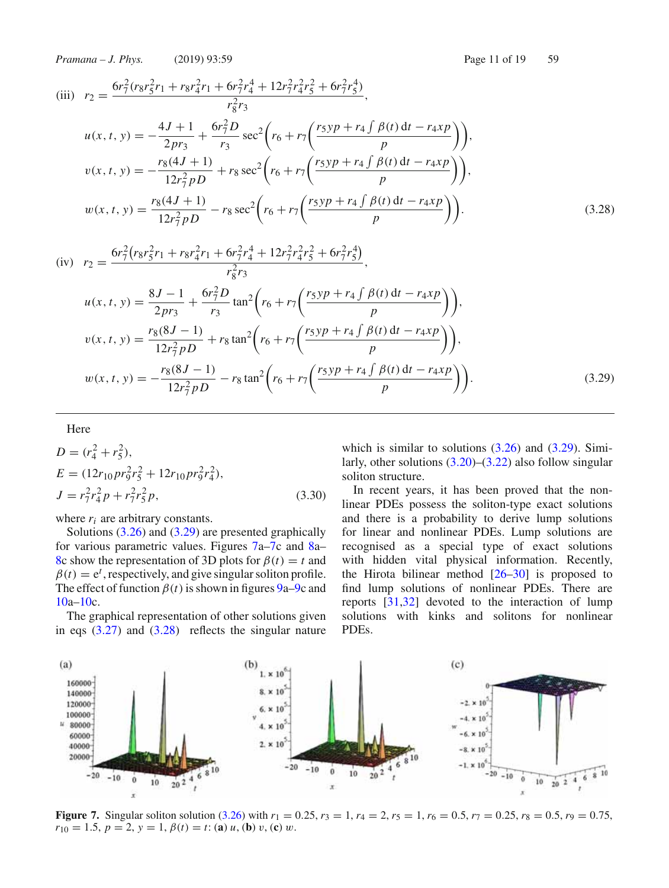*Pramana – J. Phys.* (2019) 93:59 Page 11 of 19 59

(iii) 
$$
r_2 = \frac{6r_7^2(r_8r_5^2r_1 + r_8r_4^2r_1 + 6r_7^2r_4^4 + 12r_7^2r_4^2r_5^2 + 6r_7^2r_5^4)}{r_8^2r_3},
$$
  
\n
$$
u(x, t, y) = -\frac{4J + 1}{2pr_3} + \frac{6r_7^2D}{r_3}\sec^2\left(r_6 + r_7\left(\frac{r_5yp + r_4\int \beta(t) dt - r_4xp}{p}\right)\right),
$$
  
\n
$$
v(x, t, y) = -\frac{r_8(4J + 1)}{12r_7^2p} + r_8\sec^2\left(r_6 + r_7\left(\frac{r_5yp + r_4\int \beta(t) dt - r_4xp}{p}\right)\right),
$$
  
\n
$$
w(x, t, y) = \frac{r_8(4J + 1)}{12r_7^2p} - r_8\sec^2\left(r_6 + r_7\left(\frac{r_5yp + r_4\int \beta(t) dt - r_4xp}{p}\right)\right).
$$
  
\n(3.28)

(iv) 
$$
r_2 = \frac{6r_7^2(r_8r_5^2r_1 + r_8r_4^2r_1 + 6r_7^2r_4^4 + 12r_7^2r_4^2r_5^2 + 6r_7^2r_5^4)}{r_8^2r_3},
$$
  
\n
$$
u(x, t, y) = \frac{8J - 1}{2pr_3} + \frac{6r_7^2D}{r_3}\tan^2\left(r_6 + r_7\left(\frac{r_5yp + r_4\int \beta(t) dt - r_4xp}{p}\right)\right),
$$
  
\n
$$
v(x, t, y) = \frac{r_8(8J - 1)}{12r_7^2p} + r_8\tan^2\left(r_6 + r_7\left(\frac{r_5yp + r_4\int \beta(t) dt - r_4xp}{p}\right)\right),
$$
  
\n
$$
w(x, t, y) = -\frac{r_8(8J - 1)}{12r_7^2p} - r_8\tan^2\left(r_6 + r_7\left(\frac{r_5yp + r_4\int \beta(t) dt - r_4xp}{p}\right)\right).
$$
  
\n(3.29)

# Here

$$
D = (r_4^2 + r_5^2),
$$
  
\n
$$
E = (12r_{10}pr_9^2r_5^2 + 12r_{10}pr_9^2r_4^2),
$$
  
\n
$$
J = r_7^2r_4^2p + r_7^2r_5^2p,
$$
\n(3.30)

where  $r_i$  are arbitrary constants.

Solutions (3.26) and (3.29) are presented graphically for various parametric values. Figures 7a–7c and 8a– 8c show the representation of 3D plots for  $\beta(t) = t$  and  $\beta(t) = e^t$ , respectively, and give singular soliton profile. The effect of function  $\beta(t)$  is shown in figures 9a–9c and 10a–10c.

The graphical representation of other solutions given in eqs  $(3.27)$  and  $(3.28)$  reflects the singular nature which is similar to solutions  $(3.26)$  and  $(3.29)$ . Similarly, other solutions (3.20)–(3.22) also follow singular soliton structure.

In recent years, it has been proved that the nonlinear PDEs possess the soliton-type exact solutions and there is a probability to derive lump solutions for linear and nonlinear PDEs. Lump solutions are recognised as a special type of exact solutions with hidden vital physical information. Recently, the Hirota bilinear method [26–30] is proposed to find lump solutions of nonlinear PDEs. There are reports [31,32] devoted to the interaction of lump solutions with kinks and solitons for nonlinear PDEs.



**Figure 7.** Singular soliton solution (3.26) with  $r_1 = 0.25$ ,  $r_3 = 1$ ,  $r_4 = 2$ ,  $r_5 = 1$ ,  $r_6 = 0.5$ ,  $r_7 = 0.25$ ,  $r_8 = 0.5$ ,  $r_9 = 0.75$ ,  $r_{10} = 1.5, p = 2, y = 1, \beta(t) = t$ : (**a**) *u*, (**b**) *v*, (**c**) *w*.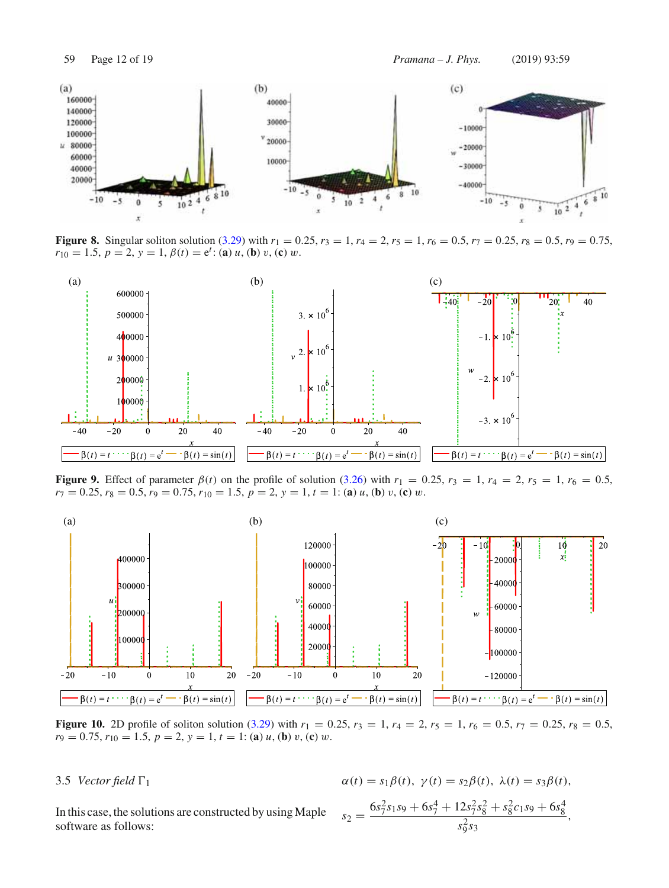

**Figure 8.** Singular soliton solution (3.29) with  $r_1 = 0.25$ ,  $r_3 = 1$ ,  $r_4 = 2$ ,  $r_5 = 1$ ,  $r_6 = 0.5$ ,  $r_7 = 0.25$ ,  $r_8 = 0.5$ ,  $r_9 = 0.75$ ,  $r_{10} = 1.5, p = 2, y = 1, \beta(t) = e^t$ : (**a**) *u*, (**b**) *v*, (**c**) *w*.



**Figure 9.** Effect of parameter  $\beta(t)$  on the profile of solution (3.26) with  $r_1 = 0.25$ ,  $r_3 = 1$ ,  $r_4 = 2$ ,  $r_5 = 1$ ,  $r_6 = 0.5$ ,  $r_7 = 0.25$ ,  $r_8 = 0.5$ ,  $r_9 = 0.75$ ,  $r_{10} = 1.5$ ,  $p = 2$ ,  $y = 1$ ,  $t = 1$ : (**a**)  $u$ , (**b**)  $v$ , (**c**)  $w$ .



**Figure 10.** 2D profile of soliton solution (3.29) with  $r_1 = 0.25$ ,  $r_3 = 1$ ,  $r_4 = 2$ ,  $r_5 = 1$ ,  $r_6 = 0.5$ ,  $r_7 = 0.25$ ,  $r_8 = 0.5$ ,  $r_9 = 0.75$ ,  $r_{10} = 1.5$ ,  $p = 2$ ,  $y = 1$ ,  $t = 1$ : (**a**)  $u$ , (**b**)  $v$ , (**c**)  $w$ .

3.5 *Vector field*  $\Gamma_1$ 

In this case, the solutions are constructed by using Maple software as follows:

$$
\alpha(t) = s_1 \beta(t), \ \gamma(t) = s_2 \beta(t), \ \lambda(t) = s_3 \beta(t),
$$

$$
s_2 = \frac{6s_7^2 s_1 s_9 + 6s_7^4 + 12s_7^2 s_8^2 + s_8^2 c_1 s_9 + 6s_8^4}{s_9^2 s_3},
$$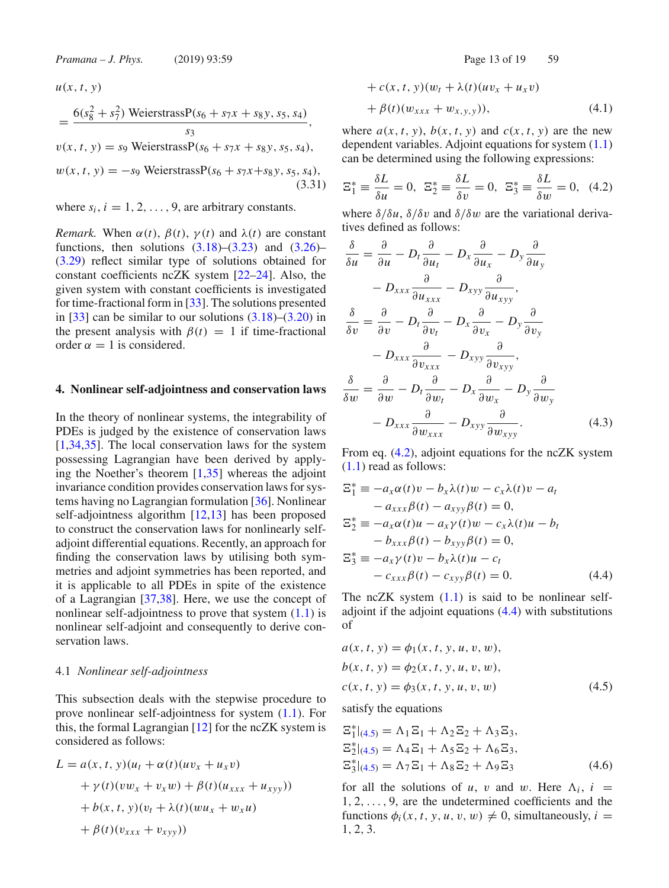$$
u(x, t, y)
$$
  
=  $\frac{6(s_8^2 + s_7^2) \text{ WeierstrassP}(s_6 + s_7x + s_8y, s_5, s_4)}{s_3}$ ,  

$$
v(x, t, y) = s_9 \text{ WeierstrassP}(s_6 + s_7x + s_8y, s_5, s_4),
$$
  

$$
w(x, t, y) = -s_9 \text{ WeierstrassP}(s_6 + s_7x + s_8y, s_5, s_4),
$$
  
(3.31)

where  $s_i$ ,  $i = 1, 2, \ldots, 9$ , are arbitrary constants.

*Remark.* When  $\alpha(t)$ ,  $\beta(t)$ ,  $\gamma(t)$  and  $\lambda(t)$  are constant functions, then solutions  $(3.18)$ – $(3.23)$  and  $(3.26)$ – (3.29) reflect similar type of solutions obtained for constant coefficients ncZK system [22–24]. Also, the given system with constant coefficients is investigated for time-fractional form in [33]. The solutions presented in  $[33]$  can be similar to our solutions  $(3.18)$ – $(3.20)$  in the present analysis with  $\beta(t) = 1$  if time-fractional order  $\alpha = 1$  is considered.

### **4. Nonlinear self-adjointness and conservation laws**

In the theory of nonlinear systems, the integrability of PDEs is judged by the existence of conservation laws [1,34,35]. The local conservation laws for the system possessing Lagrangian have been derived by applying the Noether's theorem  $[1,35]$  whereas the adjoint invariance condition provides conservation laws for systems having no Lagrangian formulation [36]. Nonlinear self-adjointness algorithm [12,13] has been proposed to construct the conservation laws for nonlinearly selfadjoint differential equations. Recently, an approach for finding the conservation laws by utilising both symmetries and adjoint symmetries has been reported, and it is applicable to all PDEs in spite of the existence of a Lagrangian [37,38]. Here, we use the concept of nonlinear self-adjointness to prove that system (1.1) is nonlinear self-adjoint and consequently to derive conservation laws.

#### 4.1 *Nonlinear self-adjointness*

This subsection deals with the stepwise procedure to prove nonlinear self-adjointness for system (1.1). For this, the formal Lagrangian [12] for the ncZK system is considered as follows:

$$
L = a(x, t, y)(u_t + \alpha(t)(uv_x + u_x v)
$$
  
+  $\gamma(t)(vw_x + v_x w) + \beta(t)(u_{xxx} + u_{xyy}))$   
+  $b(x, t, y)(v_t + \lambda(t)(wu_x + w_x u)$   
+  $\beta(t)(v_{xxx} + v_{xyy}))$ 

+ 
$$
c(x, t, y)(w_t + \lambda(t)(uv_x + u_x v)
$$
  
+  $\beta(t)(w_{xxx} + w_{x,y,y})),$  (4.1)

where  $a(x, t, y)$ ,  $b(x, t, y)$  and  $c(x, t, y)$  are the new dependent variables. Adjoint equations for system (1.1) can be determined using the following expressions:

$$
\Xi_1^* = \frac{\delta L}{\delta u} = 0, \ \ \Xi_2^* = \frac{\delta L}{\delta v} = 0, \ \ \Xi_3^* = \frac{\delta L}{\delta w} = 0, \ \ (4.2)
$$

where  $\delta/\delta u$ ,  $\delta/\delta v$  and  $\delta/\delta w$  are the variational derivatives defined as follows:

$$
\frac{\delta}{\delta u} = \frac{\partial}{\partial u} - D_t \frac{\partial}{\partial u_t} - D_x \frac{\partial}{\partial u_x} - D_y \frac{\partial}{\partial u_y} \n- D_{xxx} \frac{\partial}{\partial u_{xxx}} - D_{xyy} \frac{\partial}{\partial u_{xyy}}, \n\frac{\delta}{\delta v} = \frac{\partial}{\partial v} - D_t \frac{\partial}{\partial v_t} - D_x \frac{\partial}{\partial v_x} - D_y \frac{\partial}{\partial v_y} \n- D_{xxx} \frac{\partial}{\partial v_{xxx}} - D_{xyy} \frac{\partial}{\partial v_{xyy}}, \n\frac{\delta}{\delta w} = \frac{\partial}{\partial w} - D_t \frac{\partial}{\partial w_t} - D_x \frac{\partial}{\partial w_x} - D_y \frac{\partial}{\partial w_y} \n- D_{xxx} \frac{\partial}{\partial w_{xxx}} - D_{xyy} \frac{\partial}{\partial w_{xyy}}.
$$
\n(4.3)

From eq. (4.2), adjoint equations for the ncZK system (1.1) read as follows:

$$
\begin{aligned}\n\Xi_1^* &= -a_x \alpha(t)v - b_x \lambda(t)w - c_x \lambda(t)v - a_t \\
&- a_{xxx} \beta(t) - a_{xyy} \beta(t) = 0, \\
\Xi_2^* &= -a_x \alpha(t)u - a_x \gamma(t)w - c_x \lambda(t)u - b_t \\
&- b_{xxx} \beta(t) - b_{xyy} \beta(t) = 0, \\
\Xi_3^* &= -a_x \gamma(t)v - b_x \lambda(t)u - c_t \\
&- c_{xxx} \beta(t) - c_{xyy} \beta(t) = 0.\n\end{aligned}\n\tag{4.4}
$$

The ncZK system  $(1.1)$  is said to be nonlinear selfadjoint if the adjoint equations (4.4) with substitutions of

$$
a(x, t, y) = \phi_1(x, t, y, u, v, w),
$$
  
\n
$$
b(x, t, y) = \phi_2(x, t, y, u, v, w),
$$
  
\n
$$
c(x, t, y) = \phi_3(x, t, y, u, v, w)
$$
\n(4.5)

satisfy the equations

$$
\begin{aligned} \n\Xi_1^*|_{(4.5)} &= \Lambda_1 \Xi_1 + \Lambda_2 \Xi_2 + \Lambda_3 \Xi_3, \\ \n\Xi_2^*|_{(4.5)} &= \Lambda_4 \Xi_1 + \Lambda_5 \Xi_2 + \Lambda_6 \Xi_3, \\ \n\Xi_3^*|_{(4.5)} &= \Lambda_7 \Xi_1 + \Lambda_8 \Xi_2 + \Lambda_9 \Xi_3 \n\end{aligned} \tag{4.6}
$$

for all the solutions of *u*, *v* and *w*. Here  $\Lambda_i$ , *i* = 1, 2,..., 9, are the undetermined coefficients and the functions  $\phi_i(x, t, y, u, v, w) \neq 0$ , simultaneously,  $i =$ 1, 2, 3.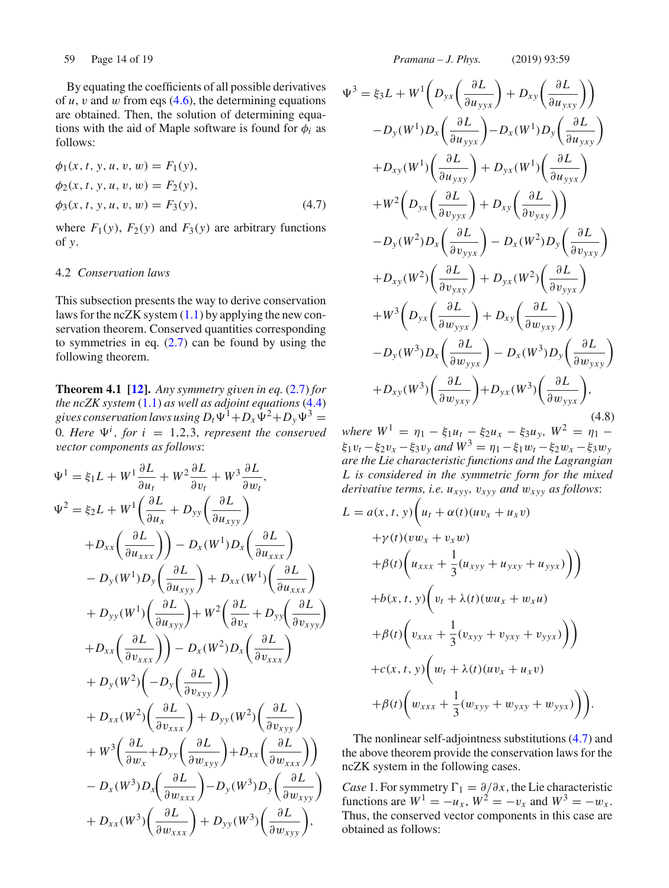By equating the coefficients of all possible derivatives of  $u$ ,  $v$  and  $w$  from eqs  $(4.6)$ , the determining equations are obtained. Then, the solution of determining equations with the aid of Maple software is found for  $\phi_i$  as follows:

$$
\phi_1(x, t, y, u, v, w) = F_1(y), \n\phi_2(x, t, y, u, v, w) = F_2(y), \n\phi_3(x, t, y, u, v, w) = F_3(y),
$$
\n(4.7)

where  $F_1(y)$ ,  $F_2(y)$  and  $F_3(y)$  are arbitrary functions of *y*.

# 4.2 *Conservation laws*

This subsection presents the way to derive conservation laws for the ncZK system  $(1.1)$  by applying the new conservation theorem. Conserved quantities corresponding to symmetries in eq.  $(2.7)$  can be found by using the following theorem.

**Theorem 4.1 [12].** *Any symmetry given in eq.*  $(2.7)$  *for the ncZK system* (1.1) *as well as adjoint equations* (4.4) *gives conservation laws using*  $D_t \Psi^1 + D_x \Psi^2 + D_y \Psi^3 =$ 0*. Here*  $\Psi^i$ *, for*  $i = 1, 2, 3$ *, represent the conserved vector components as follows*:

$$
\Psi^{1} = \xi_{1}L + W^{1} \frac{\partial L}{\partial u_{t}} + W^{2} \frac{\partial L}{\partial v_{t}} + W^{3} \frac{\partial L}{\partial w_{t}},
$$
  
\n
$$
\Psi^{2} = \xi_{2}L + W^{1} \left( \frac{\partial L}{\partial u_{x}} + D_{yy} \left( \frac{\partial L}{\partial u_{xyy}} \right) \right)
$$
  
\n
$$
+ D_{xx} \left( \frac{\partial L}{\partial u_{xxx}} \right) - D_{x} (W^{1}) D_{x} \left( \frac{\partial L}{\partial u_{xxx}} \right)
$$
  
\n
$$
- D_{y} (W^{1}) D_{y} \left( \frac{\partial L}{\partial u_{xyy}} \right) + D_{xx} (W^{1}) \left( \frac{\partial L}{\partial u_{xxx}} \right)
$$
  
\n
$$
+ D_{yy} (W^{1}) \left( \frac{\partial L}{\partial u_{xyy}} \right) + W^{2} \left( \frac{\partial L}{\partial v_{x}} + D_{yy} \left( \frac{\partial L}{\partial v_{xyy}} \right) \right)
$$
  
\n
$$
+ D_{xx} \left( \frac{\partial L}{\partial v_{xxx}} \right) - D_{x} (W^{2}) D_{x} \left( \frac{\partial L}{\partial v_{xxx}} \right)
$$
  
\n
$$
+ D_{y} (W^{2}) \left( - D_{y} \left( \frac{\partial L}{\partial v_{xyy}} \right) \right)
$$
  
\n
$$
+ D_{xx} (W^{2}) \left( \frac{\partial L}{\partial v_{xxx}} \right) + D_{yy} (W^{2}) \left( \frac{\partial L}{\partial v_{xyy}} \right)
$$
  
\n
$$
+ W^{3} \left( \frac{\partial L}{\partial w_{x}} + D_{yy} \left( \frac{\partial L}{\partial w_{xyy}} \right) + D_{xx} \left( \frac{\partial L}{\partial w_{xxx}} \right) \right)
$$
  
\n
$$
- D_{x} (W^{3}) D_{x} \left( \frac{\partial L}{\partial w_{xxx}} \right) - D_{y} (W^{3}) D_{y} \left( \frac{\partial L}{\partial w_{xyy}} \right)
$$
  
\n
$$
+ D_{xx} (W^{3}) \left( \frac{\partial L}{\partial w_{xxx}} \right) + D_{yy} (W^{3}) \left( \frac{\partial L}{\
$$

59 Page 14 of 19 *Pramana – J. Phys.* (2019) 93:59

$$
\Psi^{3} = \xi_{3}L + W^{1}\left(D_{yx}\left(\frac{\partial L}{\partial u_{yyx}}\right) + D_{xy}\left(\frac{\partial L}{\partial u_{yxy}}\right)\right) \n- D_{y}(W^{1})D_{x}\left(\frac{\partial L}{\partial u_{yyx}}\right) - D_{x}(W^{1})D_{y}\left(\frac{\partial L}{\partial u_{yxy}}\right) \n+ D_{xy}(W^{1})\left(\frac{\partial L}{\partial u_{yxy}}\right) + D_{yx}(W^{1})\left(\frac{\partial L}{\partial u_{yyx}}\right) \n+ W^{2}\left(D_{yx}\left(\frac{\partial L}{\partial v_{yyx}}\right) + D_{xy}\left(\frac{\partial L}{\partial v_{yxy}}\right)\right) \n- D_{y}(W^{2})D_{x}\left(\frac{\partial L}{\partial v_{yyx}}\right) - D_{x}(W^{2})D_{y}\left(\frac{\partial L}{\partial v_{yxy}}\right) \n+ D_{xy}(W^{2})\left(\frac{\partial L}{\partial v_{yxy}}\right) + D_{yx}(W^{2})\left(\frac{\partial L}{\partial v_{yyx}}\right) \n+ W^{3}\left(D_{yx}\left(\frac{\partial L}{\partial w_{yyx}}\right) + D_{xy}\left(\frac{\partial L}{\partial w_{yxy}}\right)\right) \n- D_{y}(W^{3})D_{x}\left(\frac{\partial L}{\partial w_{yxy}}\right) - D_{x}(W^{3})D_{y}\left(\frac{\partial L}{\partial w_{yxy}}\right) \n+ D_{xy}(W^{3})\left(\frac{\partial L}{\partial w_{yxy}}\right) + D_{yx}(W^{3})\left(\frac{\partial L}{\partial w_{yyx}}\right),
$$
\n(4.8)

*where*  $W^1 = \eta_1 - \xi_1 u_t - \xi_2 u_x - \xi_3 u_y$ ,  $W^2 = \eta_1 - \xi_2 u_x - \xi_3 u_y$  $\xi_1v_t - \xi_2v_x - \xi_3v_y$  *and*  $W^3 = \eta_1 - \xi_1w_t - \xi_2w_x - \xi_3w_y$ *are the Lie characteristic functions and the Lagrangian L is considered in the symmetric form for the mixed derivative terms, i.e. uxyy,* v*xyy and* w*xyy as follows*:

$$
L = a(x, t, y) \left( u_t + \alpha(t) (uv_x + u_x v) + \gamma(t) (vw_x + v_x w) + \beta(t) \left( u_{xxx} + \frac{1}{3} (u_{xyy} + u_{yxy} + u_{yyx}) \right) \right) + b(x, t, y) \left( v_t + \lambda(t) (wu_x + w_x u) + \beta(t) \left( v_{xxx} + \frac{1}{3} (v_{xyy} + v_{yxy} + v_{yyx}) \right) \right) + c(x, t, y) \left( w_t + \lambda(t) (uv_x + u_x v) + \beta(t) \left( w_{xxx} + \frac{1}{3} (w_{xyy} + w_{yxy} + w_{yyx}) \right) \right).
$$

The nonlinear self-adjointness substitutions (4.7) and the above theorem provide the conservation laws for the ncZK system in the following cases.

*Case* 1. For symmetry  $\Gamma_1 = \partial/\partial x$ , the Lie characteristic functions are  $W^1 = -u_x$ ,  $W^2 = -v_x$  and  $W^3 = -w_x$ . Thus, the conserved vector components in this case are obtained as follows: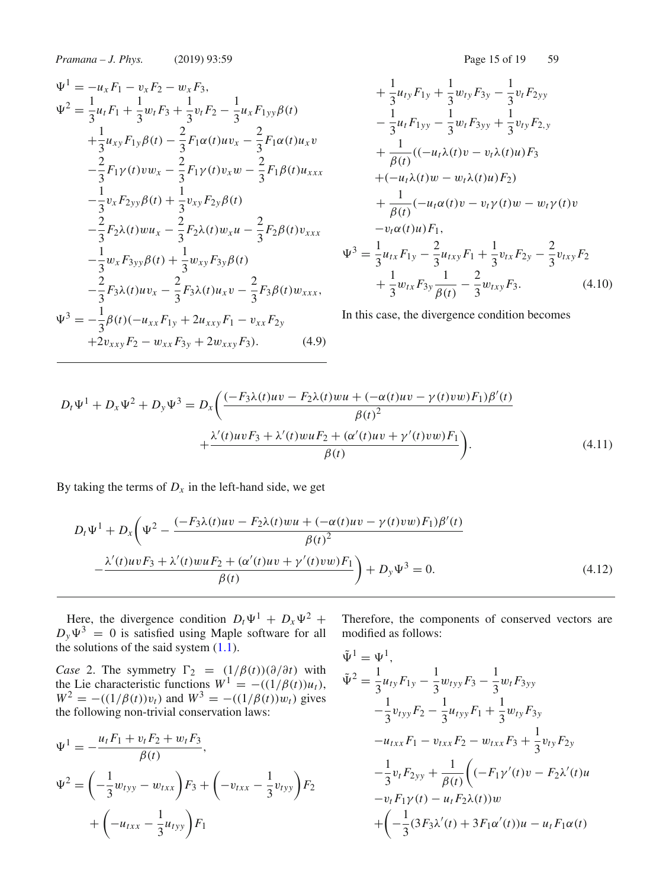*Pramana – J. Phys.* (2019) 93:59

$$
\Psi^{1} = -u_{x}F_{1} - v_{x}F_{2} - w_{x}F_{3},
$$
  
\n
$$
\Psi^{2} = \frac{1}{3}u_{t}F_{1} + \frac{1}{3}w_{t}F_{3} + \frac{1}{3}v_{t}F_{2} - \frac{1}{3}u_{x}F_{1yy}\beta(t)
$$
  
\n
$$
+ \frac{1}{3}u_{xy}F_{1y}\beta(t) - \frac{2}{3}F_{1}\alpha(t)uv_{x} - \frac{2}{3}F_{1}\alpha(t)u_{x}v
$$
  
\n
$$
- \frac{2}{3}F_{1}\gamma(t)vw_{x} - \frac{2}{3}F_{1}\gamma(t)v_{x}w - \frac{2}{3}F_{1}\beta(t)u_{xxx}
$$
  
\n
$$
- \frac{1}{3}v_{x}F_{2yy}\beta(t) + \frac{1}{3}v_{xy}F_{2y}\beta(t)
$$
  
\n
$$
- \frac{2}{3}F_{2}\lambda(t)wu_{x} - \frac{2}{3}F_{2}\lambda(t)w_{x}u - \frac{2}{3}F_{2}\beta(t)v_{xxx}
$$
  
\n
$$
- \frac{1}{3}w_{x}F_{3yy}\beta(t) + \frac{1}{3}w_{xy}F_{3y}\beta(t)
$$
  
\n
$$
- \frac{2}{3}F_{3}\lambda(t)uv_{x} - \frac{2}{3}F_{3}\lambda(t)u_{x}v - \frac{2}{3}F_{3}\beta(t)w_{xxx},
$$
  
\n
$$
\Psi^{3} = -\frac{1}{3}\beta(t)(-u_{xx}F_{1y} + 2u_{xxy}F_{1} - v_{xx}F_{2y} + 2v_{xxy}F_{2} - w_{xx}F_{3y} + 2w_{xxy}F_{3}).
$$
  
\n(4.9)

$$
+\frac{1}{3}u_{ty}F_{1y} + \frac{1}{3}w_{ty}F_{3y} - \frac{1}{3}v_tF_{2yy}
$$
  
\n
$$
-\frac{1}{3}u_tF_{1yy} - \frac{1}{3}w_tF_{3yy} + \frac{1}{3}v_{ty}F_{2,y}
$$
  
\n
$$
+\frac{1}{\beta(t)}((-u_t\lambda(t)v - v_t\lambda(t)u)F_3 + (-u_t\lambda(t)w - w_t\lambda(t)u)F_2)
$$
  
\n
$$
+\frac{1}{\beta(t)}(-u_t\alpha(t)v - v_t\gamma(t)w - w_t\gamma(t)v - v_t\gamma(t)v - v_t\alpha(t)u)F_1,
$$
  
\n
$$
\Psi^3 = \frac{1}{3}u_{tx}F_{1y} - \frac{2}{3}u_{txy}F_1 + \frac{1}{3}v_{tx}F_{2y} - \frac{2}{3}v_{txy}F_2 + \frac{1}{3}w_{tx}F_{3y}\frac{1}{\beta(t)} - \frac{2}{3}w_{txy}F_3.
$$
\n(4.10)

In this case, the divergence condition becomes

$$
D_t \Psi^1 + D_x \Psi^2 + D_y \Psi^3 = D_x \left( \frac{(-F_3 \lambda(t)uv - F_2 \lambda(t)wu + (-\alpha(t)uv - \gamma(t)vw)F_1)\beta'(t)}{\beta(t)^2} + \frac{\lambda'(t)uvF_3 + \lambda'(t)wuF_2 + (\alpha'(t)uv + \gamma'(t)vw)F_1}{\beta(t)} \right).
$$
(4.11)

By taking the terms of  $D_x$  in the left-hand side, we get

$$
D_t \Psi^1 + D_x \left( \Psi^2 - \frac{(-F_3 \lambda(t)uv - F_2 \lambda(t)wu + (-\alpha(t)uv - \gamma(t)vw)F_1)\beta'(t)}{\beta(t)^2} - \frac{\lambda'(t)uvF_3 + \lambda'(t)wuF_2 + (\alpha'(t)uv + \gamma'(t)vw)F_1}{\beta(t)} \right) + D_y \Psi^3 = 0.
$$
\n(4.12)

Here, the divergence condition  $D_t\Psi^1 + D_x\Psi^2 + D_x\Psi^2$  $D_y\Psi^3 = 0$  is satisfied using Maple software for all the solutions of the said system  $(1.1)$ .

*Case* 2. The symmetry  $\Gamma_2 = (1/\beta(t))(\partial/\partial t)$  with the Lie characteristic functions  $W^1 = -((1/\beta(t))u_t)$ ,  $W^2 = -((1/\beta(t))v_t)$  and  $W^3 = -((1/\beta(t))w_t)$  gives the following non-trivial conservation laws:

$$
\Psi^{1} = -\frac{u_{t}F_{1} + v_{t}F_{2} + w_{t}F_{3}}{\beta(t)},
$$
  

$$
\Psi^{2} = \left(-\frac{1}{3}w_{tyy} - w_{txx}\right)F_{3} + \left(-v_{txx} - \frac{1}{3}v_{tyy}\right)F_{2}
$$

$$
+ \left(-u_{txx} - \frac{1}{3}u_{tyy}\right)F_{1}
$$

Therefore, the components of conserved vectors are modified as follows:

$$
\tilde{\Psi}^{1} = \Psi^{1},
$$
\n
$$
\tilde{\Psi}^{2} = \frac{1}{3} u_{ty} F_{1y} - \frac{1}{3} w_{tyy} F_{3} - \frac{1}{3} w_{t} F_{3yy}
$$
\n
$$
- \frac{1}{3} v_{tyy} F_{2} - \frac{1}{3} u_{tyy} F_{1} + \frac{1}{3} w_{ty} F_{3y}
$$
\n
$$
- u_{txx} F_{1} - v_{txx} F_{2} - w_{txx} F_{3} + \frac{1}{3} v_{ty} F_{2y}
$$
\n
$$
- \frac{1}{3} v_{t} F_{2yy} + \frac{1}{\beta(t)} \Big( (-F_{1}\gamma'(t)v - F_{2}\lambda'(t)u - v_{t} F_{1}\gamma(t) - u_{t} F_{2}\lambda(t))w + \Big( -\frac{1}{3} (3F_{3}\lambda'(t) + 3F_{1}\alpha'(t))u - u_{t} F_{1}\alpha(t)
$$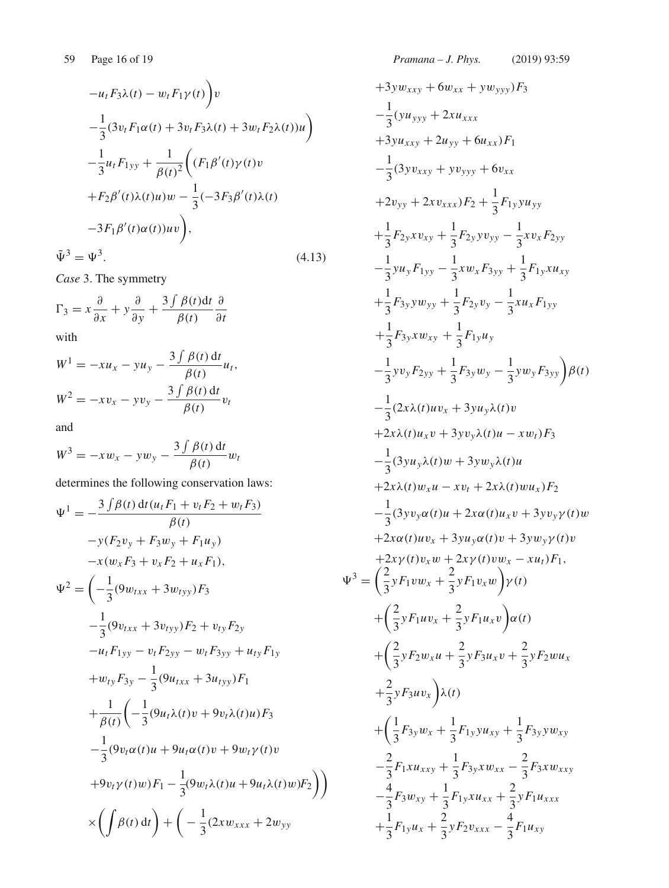$$
-u_t F_3 \lambda(t) - w_t F_1 \gamma(t) \bigg) v
$$
  

$$
- \frac{1}{3} (3v_t F_1 \alpha(t) + 3v_t F_3 \lambda(t) + 3w_t F_2 \lambda(t)) u \bigg)
$$
  

$$
- \frac{1}{3} u_t F_{1yy} + \frac{1}{\beta(t)^2} \bigg( (F_1 \beta'(t) \gamma(t) v + F_2 \beta'(t) \lambda(t) u) w - \frac{1}{3} (-3F_3 \beta'(t) \lambda(t) - 3F_1 \beta'(t) \alpha(t)) uv \bigg),
$$
  

$$
\tilde{\Psi}^3 = \Psi^3.
$$
 (4.13)

*Case* 3. The symmetry

$$
\Gamma_3 = x \frac{\partial}{\partial x} + y \frac{\partial}{\partial y} + \frac{3 \int \beta(t) dt}{\beta(t)} \frac{\partial}{\partial t}
$$

with

$$
W1 = -xux - yuy - \frac{3 \int \beta(t) dt}{\beta(t)} ut,
$$
  

$$
W2 = -xvx - yvy - \frac{3 \int \beta(t) dt}{\beta(t)} vt
$$

and

$$
W^3 = -xw_x - yw_y - \frac{3\int \beta(t) dt}{\beta(t)} w_t
$$

determines the following conservation laws:

$$
\Psi^{1} = -\frac{3 \int \beta(t) dt (u_{t}F_{1} + v_{t}F_{2} + w_{t}F_{3})}{\beta(t)}
$$
  
\n
$$
-y(F_{2}v_{y} + F_{3}w_{y} + F_{1}u_{y})
$$
  
\n
$$
-x(w_{x}F_{3} + v_{x}F_{2} + u_{x}F_{1}),
$$
  
\n
$$
\Psi^{2} = \left(-\frac{1}{3}(9w_{txx} + 3w_{tyy})F_{3}\right)
$$
  
\n
$$
-\frac{1}{3}(9v_{txx} + 3v_{tyy})F_{2} + v_{ty}F_{2y}
$$
  
\n
$$
-u_{t}F_{1yy} - v_{t}F_{2yy} - w_{t}F_{3yy} + u_{ty}F_{1y}
$$
  
\n
$$
+w_{ty}F_{3y} - \frac{1}{3}(9u_{txx} + 3u_{tyy})F_{1}
$$
  
\n
$$
+\frac{1}{\beta(t)}\left(-\frac{1}{3}(9u_{t}\lambda(t)v + 9v_{t}\lambda(t)u)F_{3}\right)
$$
  
\n
$$
-\frac{1}{3}(9v_{t}\alpha(t)u + 9u_{t}\alpha(t)v + 9w_{t}\gamma(t)v
$$
  
\n
$$
+9v_{t}\gamma(t)w)F_{1} - \frac{1}{3}(9w_{t}\lambda(t)u + 9u_{t}\lambda(t)w)F_{2}\right)\right)
$$
  
\n
$$
\times \left(\int \beta(t) dt\right) + \left(-\frac{1}{3}(2xw_{xxx} + 2w_{yy})
$$

+3yw<sub>xxy</sub> + 6w<sub>xx</sub> + yw<sub>yyy</sub>)F<sub>3</sub>  
\n
$$
-\frac{1}{3}(y_{yyy} + 2xu_{xxx}
$$
\n+3yu<sub>xxy</sub> + 2u<sub>yy</sub> + 6u<sub>xx</sub>)F<sub>1</sub>  
\n
$$
-\frac{1}{3}(3yv_{xxy} + yv_{yyy} + 6v_{xx}
$$
\n+2v<sub>yy</sub> + 2xv<sub>xxx</sub>)F<sub>2</sub> +  $\frac{1}{3}$ F<sub>1y</sub>yu<sub>yy</sub>  
\n
$$
+\frac{1}{3}
$$
F<sub>2y</sub>xv<sub>xy</sub> +  $\frac{1}{3}$ F<sub>2y</sub>yv<sub>yy</sub> -  $\frac{1}{3}$ xv<sub>x</sub>F<sub>2yy</sub>  
\n
$$
-\frac{1}{3}
$$
yu<sub>y</sub>F<sub>1yy</sub> -  $\frac{1}{3}$ xw<sub>x</sub>F<sub>3yy</sub> +  $\frac{1}{3}$ F<sub>1y</sub>xu<sub>xy</sub>  
\n
$$
+\frac{1}{3}
$$
F<sub>3y</sub>xw<sub>yy</sub> +  $\frac{1}{3}$ F<sub>1y</sub>u<sub>y</sub>  
\n
$$
-\frac{1}{3}
$$
yv<sub>y</sub>F<sub>2yy</sub> +  $\frac{1}{3}$ F<sub>1y</sub>u<sub>y</sub>  
\n
$$
-\frac{1}{3}
$$
yv<sub>y</sub>F<sub>2yy</sub> +  $\frac{1}{3}$ F<sub>1y</sub>u<sub>y</sub>  
\n
$$
-\frac{1}{3}
$$
(2xλ*(t)uv<sub>x</sub> + 3yu<sub>y</sub>x<sub>0</sub>) =  $\frac{1}{3}$ (2xλ*(t)uv<sub>x</sub> + 3yu<sub>y</sub>x<sub>0</sub>(t)v  
\n+2xλ*(t)u<sub>x</sub>v + 3yu<sub>y</sub>λ*(t)u*  
\n+2xλ*(t)u<sub>x</sub>v + 3yu<sub>y</sub>λ*(t)u*  
\n+2xλ*(t)u<sub>x</sub>v + 2xλ*****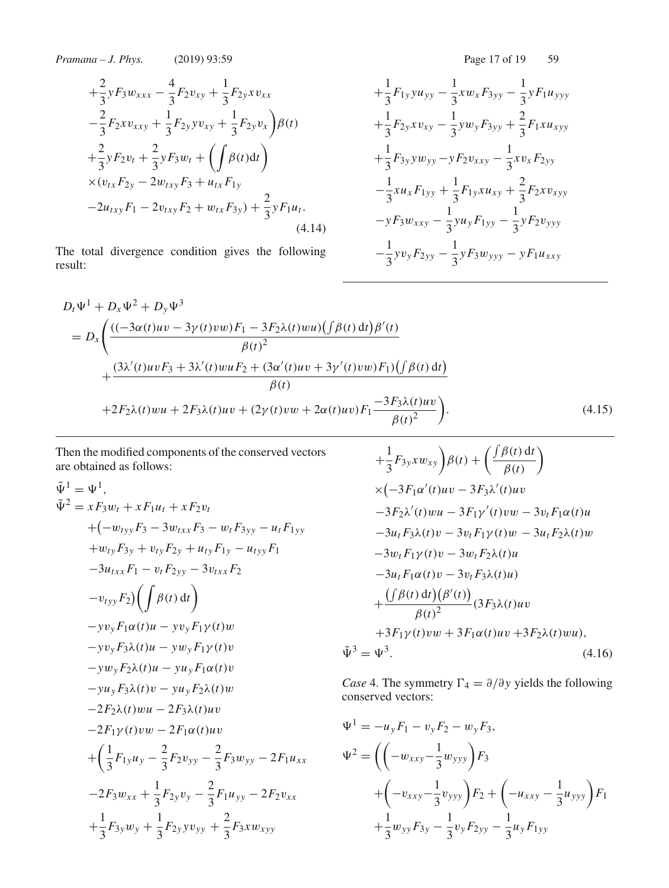*Pramana – J. Phys.* (2019) 93:59 Page 17 of 19 59

$$
+\frac{2}{3}yF_3w_{xxx} - \frac{4}{3}F_2v_{xy} + \frac{1}{3}F_{2y}xv_{xx}
$$
  
\n
$$
-\frac{2}{3}F_2xv_{xxy} + \frac{1}{3}F_{2y}yv_{xy} + \frac{1}{3}F_{2y}v_x\bigg)\beta(t)
$$
  
\n
$$
+\frac{2}{3}yF_2v_t + \frac{2}{3}yF_3w_t + \left(\int \beta(t)dt\right)
$$
  
\n
$$
\times (v_{tx}F_{2y} - 2w_{txy}F_3 + u_{tx}F_{1y})
$$
  
\n
$$
-2u_{txy}F_1 - 2v_{txy}F_2 + w_{tx}F_{3y}) + \frac{2}{3}yF_1u_t.
$$
\n(4.14)

The total divergence condition gives the following result:

$$
+\frac{1}{3}F_{1y}yu_{yy} - \frac{1}{3}xw_xF_{3yy} - \frac{1}{3}yF_1u_{yyy}
$$
  
+
$$
\frac{1}{3}F_{2y}xv_{xy} - \frac{1}{3}yw_yF_{3yy} + \frac{2}{3}F_1xu_{xyy}
$$
  
+
$$
\frac{1}{3}F_{3y}yw_{yy} - yF_2v_{xxy} - \frac{1}{3}xv_xF_{2yy}
$$
  
-
$$
\frac{1}{3}xu_xF_{1yy} + \frac{1}{3}F_{1y}xu_{xy} + \frac{2}{3}F_2xv_{xyy}
$$
  
-
$$
yF_3w_{xxy} - \frac{1}{3}yu_yF_{1yy} - \frac{1}{3}yF_2v_{yyy}
$$
  
-
$$
\frac{1}{3}yv_yF_{2yy} - \frac{1}{3}yF_3w_{yyy} - yF_1u_{xxy}
$$

$$
D_t \Psi^1 + D_x \Psi^2 + D_y \Psi^3
$$
  
= 
$$
D_x \left( \frac{((-3\alpha(t)uv - 3\gamma(t)vw)F_1 - 3F_2\lambda(t)wu)(\int \beta(t) dt)\beta'(t)}{\beta(t)^2} + \frac{(3\lambda'(t)uvF_3 + 3\lambda'(t)wuF_2 + (3\alpha'(t)uv + 3\gamma'(t)vw)F_1)(\int \beta(t) dt)}{\beta(t)} + 2F_2\lambda(t)wu + 2F_3\lambda(t)uv + (2\gamma(t)vw + 2\alpha(t)uv)F_1 \frac{-3F_3\lambda(t)uv}{\beta(t)^2} \right).
$$
(4.15)

Then the modified components of the conserved vectors are obtained as follows:

$$
\tilde{\Psi}^{1} = \Psi^{1},
$$
\n
$$
\tilde{\Psi}^{2} = x F_{3} w_{t} + x F_{1} u_{t} + x F_{2} v_{t}
$$
\n
$$
+ (-w_{tyy} F_{3} - 3w_{txx} F_{3} - w_{t} F_{3yy} - u_{t} F_{1yy} + w_{tyy} F_{3} + v_{tyy} F_{2y} + u_{tyy} F_{1y} - u_{tyy} F_{1}
$$
\n
$$
-3u_{txx} F_{1} - v_{t} F_{2yy} - 3v_{txx} F_{2}
$$
\n
$$
-v_{tyy} F_{2}) \left( \int \beta(t) dt \right)
$$
\n
$$
-y v_{y} F_{1} \alpha(t) u - y v_{y} F_{1} \gamma(t) w
$$
\n
$$
-y v_{y} F_{3} \lambda(t) u - y w_{y} F_{1} \gamma(t) v
$$
\n
$$
-y w_{y} F_{2} \lambda(t) u - y u_{y} F_{1} \alpha(t) v
$$
\n
$$
-2w_{y} F_{3} \lambda(t) v - y u_{y} F_{2} \lambda(t) w
$$
\n
$$
-2F_{2} \lambda(t) w u - 2F_{3} \lambda(t) u v
$$
\n
$$
-2F_{1} \gamma(t) v w - 2F_{1} \alpha(t) u v
$$
\n
$$
+ \left( \frac{1}{3} F_{1y} u_{y} - \frac{2}{3} F_{2} v_{yy} - \frac{2}{3} F_{3} w_{yy} - 2F_{1} u_{xx} - 2F_{3} w_{xx} + \frac{1}{3} F_{2y} v_{y} - \frac{2}{3} F_{1} u_{yy} - 2F_{2} v_{xx} + \frac{1}{3} F_{3y} w_{y} + \frac{1}{3} F_{2y} y_{y} y + \frac{2}{3} F_{3x} w_{xyy}
$$

$$
+\frac{1}{3}F_{3y}xw_{xy}\bigg)\beta(t) + \left(\frac{\int \beta(t) dt}{\beta(t)}\right)
$$
  
\n
$$
\times(-3F_{1}\alpha'(t)uv - 3F_{3}\lambda'(t)uv
$$
  
\n
$$
-3F_{2}\lambda'(t)wu - 3F_{1}\gamma'(t)vw - 3v_{t}F_{1}\alpha(t)u
$$
  
\n
$$
-3u_{t}F_{3}\lambda(t)v - 3v_{t}F_{1}\gamma(t)w - 3u_{t}F_{2}\lambda(t)w
$$
  
\n
$$
-3u_{t}F_{1}\gamma(t)v - 3w_{t}F_{2}\lambda(t)u
$$
  
\n
$$
-3u_{t}F_{1}\alpha(t)v - 3v_{t}F_{3}\lambda(t)u
$$
  
\n
$$
+\frac{(\int \beta(t) dt)(\beta'(t))}{\beta(t)^{2}}(3F_{3}\lambda(t)uv
$$
  
\n
$$
+3F_{1}\gamma(t)vw + 3F_{1}\alpha(t)uv + 3F_{2}\lambda(t)wu),
$$
  
\n
$$
\tilde{\Psi}^{3} = \Psi^{3}.
$$
  
\n(4.16)

*Case* 4. The symmetry  $\Gamma_4 = \partial/\partial y$  yields the following conserved vectors:

$$
\Psi^{1} = -u_{y}F_{1} - v_{y}F_{2} - w_{y}F_{3},
$$
  
\n
$$
\Psi^{2} = \left( \left( -w_{xxy} - \frac{1}{3}w_{yyy} \right) F_{3} + \left( -v_{xxy} - \frac{1}{3}v_{yyy} \right) F_{2} + \left( -u_{xxy} - \frac{1}{3}u_{yyy} \right) F_{1} + \frac{1}{3}w_{yy}F_{3y} - \frac{1}{3}v_{y}F_{2yy} - \frac{1}{3}u_{y}F_{1yy}
$$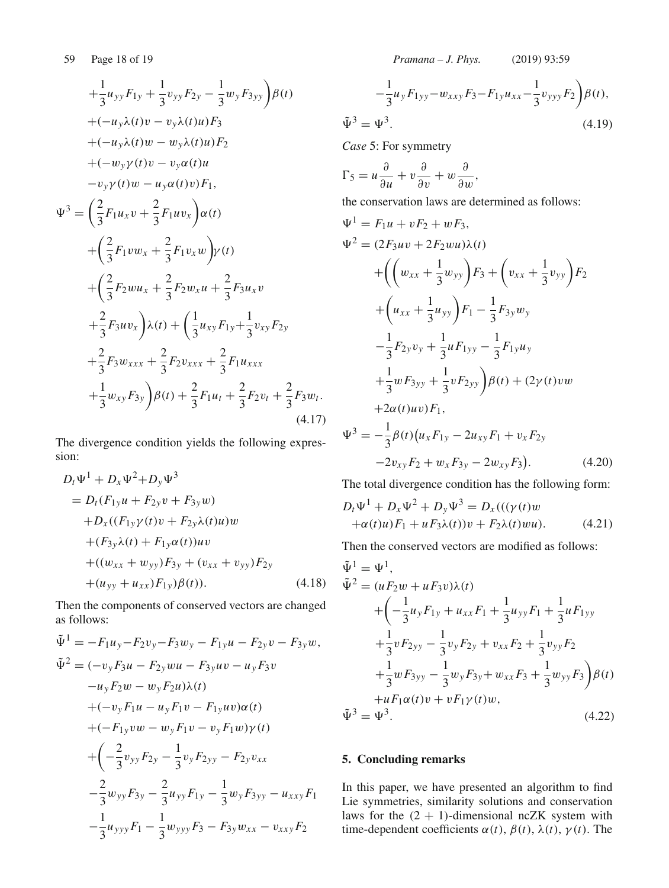$$
+\frac{1}{3}u_{yy}F_{1y} + \frac{1}{3}v_{yy}F_{2y} - \frac{1}{3}w_yF_{3yy}\rho(t) \n+(-u_y\lambda(t)v - v_y\lambda(t)u)F_3 \n+(-u_y\lambda(t)w - w_y\lambda(t)u)F_2 \n+(-w_y\gamma(t)v - v_y\alpha(t)u \n-v_y\gamma(t)w - u_y\alpha(t)v)F_1,
$$
\n
$$
\Psi^3 = \left(\frac{2}{3}F_1u_xv + \frac{2}{3}F_1uv_x\right)\alpha(t) \n+ \left(\frac{2}{3}F_1vw_x + \frac{2}{3}F_1v_xw\right)\gamma(t) \n+ \left(\frac{2}{3}F_2wu_x + \frac{2}{3}F_2w_xu + \frac{2}{3}F_3u_xv \n+ \frac{2}{3}F_3uv_x\right)\lambda(t) + \left(\frac{1}{3}u_{xy}F_{1y} + \frac{1}{3}v_{xy}F_{2y} \n+ \frac{2}{3}F_3w_{xxx} + \frac{2}{3}F_2v_{xxx} + \frac{2}{3}F_1u_{xxx} \n+ \frac{1}{3}w_{xy}F_{3y}\right)\beta(t) + \frac{2}{3}F_1u_t + \frac{2}{3}F_2v_t + \frac{2}{3}F_3w_t.
$$
\n(4.17)

The divergence condition yields the following expression:

$$
D_t \Psi^1 + D_x \Psi^2 + D_y \Psi^3
$$
  
=  $D_t (F_{1y}u + F_{2y}v + F_{3y}w)$   
+  $D_x ((F_{1y}\gamma(t)v + F_{2y}\lambda(t)u)w$   
+  $(F_{3y}\lambda(t) + F_{1y}\alpha(t))uv$   
+  $((w_{xx} + w_{yy})F_{3y} + (v_{xx} + v_{yy})F_{2y}$   
+  $(u_{yy} + u_{xx})F_{1y})\beta(t)$ ). (4.18)

Then the components of conserved vectors are changed as follows:

$$
\tilde{\Psi}^{1} = -F_{1}u_{y} - F_{2}v_{y} - F_{3}w_{y} - F_{1y}u - F_{2y}v - F_{3y}w,
$$
  
\n
$$
\tilde{\Psi}^{2} = (-v_{y}F_{3}u - F_{2y}wu - F_{3y}uv - u_{y}F_{3}v - u_{y}F_{2}w - w_{y}F_{2}u)\lambda(t)
$$
  
\n
$$
+(-v_{y}F_{1}u - u_{y}F_{1}v - F_{1y}uv)\alpha(t)
$$
  
\n
$$
+(-F_{1y}vw - w_{y}F_{1}v - v_{y}F_{1}w)\gamma(t)
$$
  
\n
$$
+(-\frac{2}{3}v_{yy}F_{2y} - \frac{1}{3}v_{y}F_{2yy} - F_{2y}v_{xx}
$$
  
\n
$$
-\frac{2}{3}w_{yy}F_{3y} - \frac{2}{3}u_{yy}F_{1y} - \frac{1}{3}w_{y}F_{3yy} - u_{xxy}F_{1}
$$
  
\n
$$
-\frac{1}{3}u_{yyy}F_{1} - \frac{1}{3}w_{yyy}F_{3} - F_{3y}w_{xx} - v_{xxy}F_{2}
$$

$$
-\frac{1}{3}u_yF_{1yy} - w_{xxy}F_3 - F_{1y}u_{xx} - \frac{1}{3}v_{yyy}F_2\bigg)\beta(t),
$$
  

$$
\tilde{\Psi}^3 = \Psi^3.
$$
 (4.19)

*Case* 5: For symmetry

$$
\Gamma_5 = u \frac{\partial}{\partial u} + v \frac{\partial}{\partial v} + w \frac{\partial}{\partial w},
$$

the conservation laws are determined as follows:

$$
\Psi^{1} = F_{1}u + vF_{2} + wF_{3},
$$
  
\n
$$
\Psi^{2} = (2F_{3}uv + 2F_{2}wu)\lambda(t)
$$
  
\n
$$
+ \left( \left( w_{xx} + \frac{1}{3}w_{yy} \right) F_{3} + \left( v_{xx} + \frac{1}{3}v_{yy} \right) F_{2} + \left( u_{xx} + \frac{1}{3}u_{yy} \right) F_{1} - \frac{1}{3}F_{3y}w_{y}
$$
  
\n
$$
- \frac{1}{3}F_{2y}v_{y} + \frac{1}{3}uF_{1yy} - \frac{1}{3}F_{1y}u_{y}
$$
  
\n
$$
+ \frac{1}{3}wF_{3yy} + \frac{1}{3}vF_{2yy} \right) \beta(t) + (2\gamma(t)vw
$$
  
\n
$$
+ 2\alpha(t)uv)F_{1},
$$
  
\n
$$
\Psi^{3} = -\frac{1}{3}\beta(t)(u_{x}F_{1y} - 2u_{xy}F_{1} + v_{x}F_{2y})
$$

 $-2v_{xy}F_2 + w_xF_{3y} - 2w_{xy}F_3$ . (4.20)

The total divergence condition has the following form:

$$
D_t \Psi^1 + D_x \Psi^2 + D_y \Psi^3 = D_x(((\gamma(t)w + \alpha(t)u)F_1 + uF_3\lambda(t))v + F_2\lambda(t)wu).
$$
 (4.21)

Then the conserved vectors are modified as follows:

$$
\tilde{\Psi}^{1} = \Psi^{1},
$$
\n
$$
\tilde{\Psi}^{2} = (uF_{2}w + uF_{3}v)\lambda(t)
$$
\n
$$
+ \left(-\frac{1}{3}u_{y}F_{1y} + u_{xx}F_{1} + \frac{1}{3}u_{yy}F_{1} + \frac{1}{3}uF_{1yy}\right)
$$
\n
$$
+ \frac{1}{3}vF_{2yy} - \frac{1}{3}v_{y}F_{2y} + v_{xx}F_{2} + \frac{1}{3}v_{yy}F_{2}
$$
\n
$$
+ \frac{1}{3}wF_{3yy} - \frac{1}{3}w_{y}F_{3y} + w_{xx}F_{3} + \frac{1}{3}w_{yy}F_{3}\right)\beta(t)
$$
\n
$$
+ uF_{1}\alpha(t)v + vF_{1}\gamma(t)w,
$$
\n
$$
\tilde{\Psi}^{3} = \Psi^{3}. \tag{4.22}
$$

# **5. Concluding remarks**

In this paper, we have presented an algorithm to find Lie symmetries, similarity solutions and conservation laws for the  $(2 + 1)$ -dimensional ncZK system with time-dependent coefficients  $\alpha(t)$ ,  $\beta(t)$ ,  $\lambda(t)$ ,  $\gamma(t)$ . The